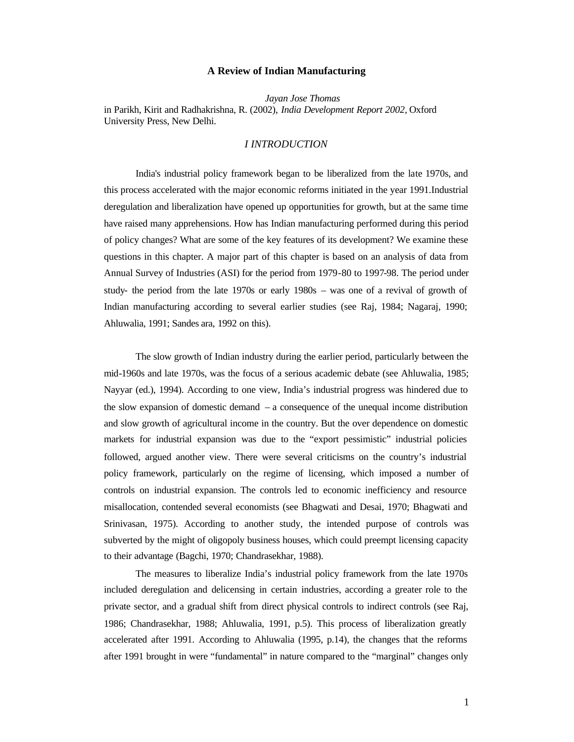## **A Review of Indian Manufacturing**

*Jayan Jose Thomas*  in Parikh, Kirit and Radhakrishna, R. (2002), *India Development Report 2002*, Oxford University Press, New Delhi.

## *I INTRODUCTION*

India's industrial policy framework began to be liberalized from the late 1970s, and this process accelerated with the major economic reforms initiated in the year 1991.Industrial deregulation and liberalization have opened up opportunities for growth, but at the same time have raised many apprehensions. How has Indian manufacturing performed during this period of policy changes? What are some of the key features of its development? We examine these questions in this chapter. A major part of this chapter is based on an analysis of data from Annual Survey of Industries (ASI) for the period from 1979-80 to 1997-98. The period under study- the period from the late 1970s or early 1980s – was one of a revival of growth of Indian manufacturing according to several earlier studies (see Raj, 1984; Nagaraj, 1990; Ahluwalia, 1991; Sandes ara, 1992 on this).

The slow growth of Indian industry during the earlier period, particularly between the mid-1960s and late 1970s, was the focus of a serious academic debate (see Ahluwalia, 1985; Nayyar (ed.), 1994). According to one view, India's industrial progress was hindered due to the slow expansion of domestic demand  $-$  a consequence of the unequal income distribution and slow growth of agricultural income in the country. But the over dependence on domestic markets for industrial expansion was due to the "export pessimistic" industrial policies followed, argued another view. There were several criticisms on the country's industrial policy framework, particularly on the regime of licensing, which imposed a number of controls on industrial expansion. The controls led to economic inefficiency and resource misallocation, contended several economists (see Bhagwati and Desai, 1970; Bhagwati and Srinivasan, 1975). According to another study, the intended purpose of controls was subverted by the might of oligopoly business houses, which could preempt licensing capacity to their advantage (Bagchi, 1970; Chandrasekhar, 1988).

The measures to liberalize India's industrial policy framework from the late 1970s included deregulation and delicensing in certain industries, according a greater role to the private sector, and a gradual shift from direct physical controls to indirect controls (see Raj, 1986; Chandrasekhar, 1988; Ahluwalia, 1991, p.5). This process of liberalization greatly accelerated after 1991. According to Ahluwalia (1995, p.14), the changes that the reforms after 1991 brought in were "fundamental" in nature compared to the "marginal" changes only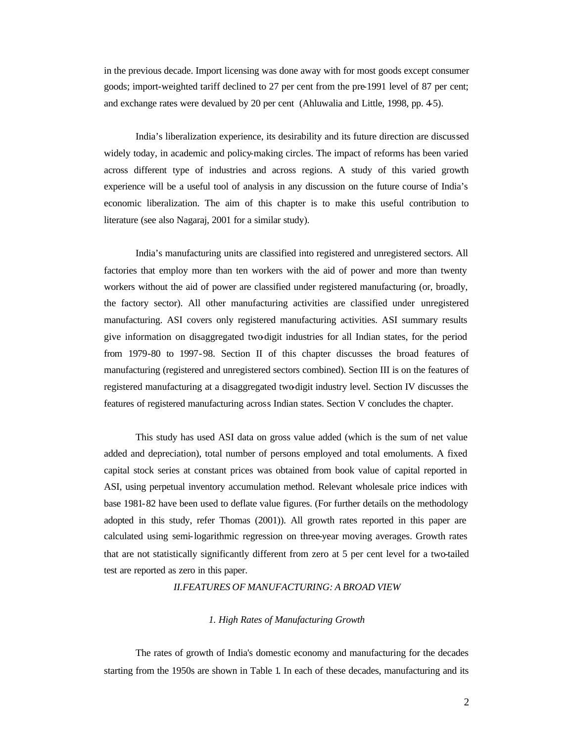in the previous decade. Import licensing was done away with for most goods except consumer goods; import-weighted tariff declined to 27 per cent from the pre-1991 level of 87 per cent; and exchange rates were devalued by 20 per cent (Ahluwalia and Little, 1998, pp. 4-5).

India's liberalization experience, its desirability and its future direction are discussed widely today, in academic and policy-making circles. The impact of reforms has been varied across different type of industries and across regions. A study of this varied growth experience will be a useful tool of analysis in any discussion on the future course of India's economic liberalization. The aim of this chapter is to make this useful contribution to literature (see also Nagaraj, 2001 for a similar study).

India's manufacturing units are classified into registered and unregistered sectors. All factories that employ more than ten workers with the aid of power and more than twenty workers without the aid of power are classified under registered manufacturing (or, broadly, the factory sector). All other manufacturing activities are classified under unregistered manufacturing. ASI covers only registered manufacturing activities. ASI summary results give information on disaggregated two-digit industries for all Indian states, for the period from 1979-80 to 1997-98. Section II of this chapter discusses the broad features of manufacturing (registered and unregistered sectors combined). Section III is on the features of registered manufacturing at a disaggregated two-digit industry level. Section IV discusses the features of registered manufacturing across Indian states. Section V concludes the chapter.

This study has used ASI data on gross value added (which is the sum of net value added and depreciation), total number of persons employed and total emoluments. A fixed capital stock series at constant prices was obtained from book value of capital reported in ASI, using perpetual inventory accumulation method. Relevant wholesale price indices with base 1981-82 have been used to deflate value figures. (For further details on the methodology adopted in this study, refer Thomas (2001)). All growth rates reported in this paper are calculated using semi-logarithmic regression on three-year moving averages. Growth rates that are not statistically significantly different from zero at 5 per cent level for a two-tailed test are reported as zero in this paper.

*II.FEATURES OF MANUFACTURING: A BROAD VIEW*

### *1. High Rates of Manufacturing Growth*

The rates of growth of India's domestic economy and manufacturing for the decades starting from the 1950s are shown in Table 1. In each of these decades, manufacturing and its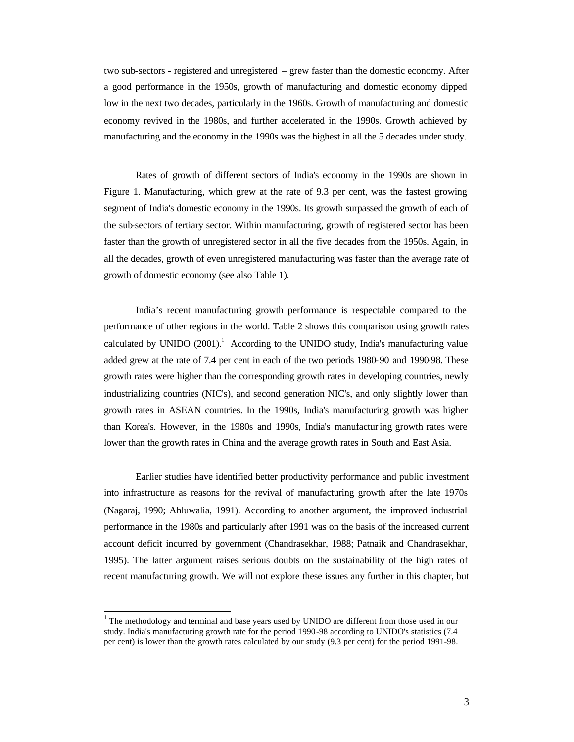two sub-sectors - registered and unregistered – grew faster than the domestic economy. After a good performance in the 1950s, growth of manufacturing and domestic economy dipped low in the next two decades, particularly in the 1960s. Growth of manufacturing and domestic economy revived in the 1980s, and further accelerated in the 1990s. Growth achieved by manufacturing and the economy in the 1990s was the highest in all the 5 decades under study.

Rates of growth of different sectors of India's economy in the 1990s are shown in Figure 1. Manufacturing, which grew at the rate of 9.3 per cent, was the fastest growing segment of India's domestic economy in the 1990s. Its growth surpassed the growth of each of the sub-sectors of tertiary sector. Within manufacturing, growth of registered sector has been faster than the growth of unregistered sector in all the five decades from the 1950s. Again, in all the decades, growth of even unregistered manufacturing was faster than the average rate of growth of domestic economy (see also Table 1).

India's recent manufacturing growth performance is respectable compared to the performance of other regions in the world. Table 2 shows this comparison using growth rates calculated by UNIDO  $(2001)$ .<sup>1</sup> According to the UNIDO study, India's manufacturing value added grew at the rate of 7.4 per cent in each of the two periods 1980-90 and 1990-98. These growth rates were higher than the corresponding growth rates in developing countries, newly industrializing countries (NIC's), and second generation NIC's, and only slightly lower than growth rates in ASEAN countries. In the 1990s, India's manufacturing growth was higher than Korea's. However, in the 1980s and 1990s, India's manufacturing growth rates were lower than the growth rates in China and the average growth rates in South and East Asia.

Earlier studies have identified better productivity performance and public investment into infrastructure as reasons for the revival of manufacturing growth after the late 1970s (Nagaraj, 1990; Ahluwalia, 1991). According to another argument, the improved industrial performance in the 1980s and particularly after 1991 was on the basis of the increased current account deficit incurred by government (Chandrasekhar, 1988; Patnaik and Chandrasekhar, 1995). The latter argument raises serious doubts on the sustainability of the high rates of recent manufacturing growth. We will not explore these issues any further in this chapter, but

l

 $1$  The methodology and terminal and base years used by UNIDO are different from those used in our study. India's manufacturing growth rate for the period 1990-98 according to UNIDO's statistics (7.4 per cent) is lower than the growth rates calculated by our study (9.3 per cent) for the period 1991-98.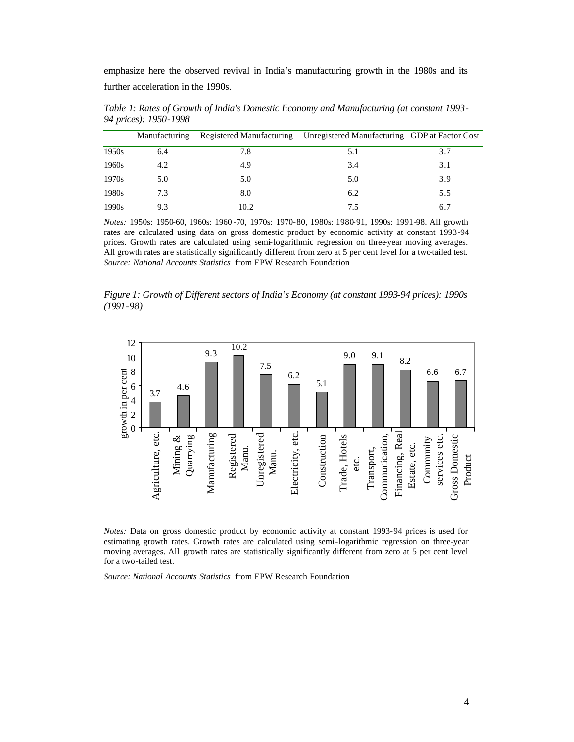emphasize here the observed revival in India's manufacturing growth in the 1980s and its further acceleration in the 1990s.

|       | Manufacturing |      | Registered Manufacturing Unregistered Manufacturing GDP at Factor Cost |     |
|-------|---------------|------|------------------------------------------------------------------------|-----|
| 1950s | 6.4           | 7.8  | 5.1                                                                    | 3.7 |
| 1960s | 4.2           | 4.9  | 3.4                                                                    | 3.1 |
| 1970s | 5.0           | 5.0  | 5.0                                                                    | 3.9 |
| 1980s | 7.3           | 8.0  | 6.2                                                                    | 5.5 |
| 1990s | 9.3           | 10.2 | 7.5                                                                    | 6.7 |

*Table 1: Rates of Growth of India's Domestic Economy and Manufacturing (at constant 1993- 94 prices): 1950-1998*

*Notes:* 1950s: 1950-60, 1960s: 1960 -70, 1970s: 1970-80, 1980s: 1980-91, 1990s: 1991-98. All growth rates are calculated using data on gross domestic product by economic activity at constant 1993-94 prices. Growth rates are calculated using semi-logarithmic regression on three-year moving averages. All growth rates are statistically significantly different from zero at 5 per cent level for a two-tailed test. *Source: National Accounts Statistics* from EPW Research Foundation

*Figure 1: Growth of Different sectors of India's Economy (at constant 1993-94 prices): 1990s (1991-98)*



*Notes:* Data on gross domestic product by economic activity at constant 1993-94 prices is used for estimating growth rates. Growth rates are calculated using semi-logarithmic regression on three-year moving averages. All growth rates are statistically significantly different from zero at 5 per cent level for a two-tailed test.

*Source: National Accounts Statistics* from EPW Research Foundation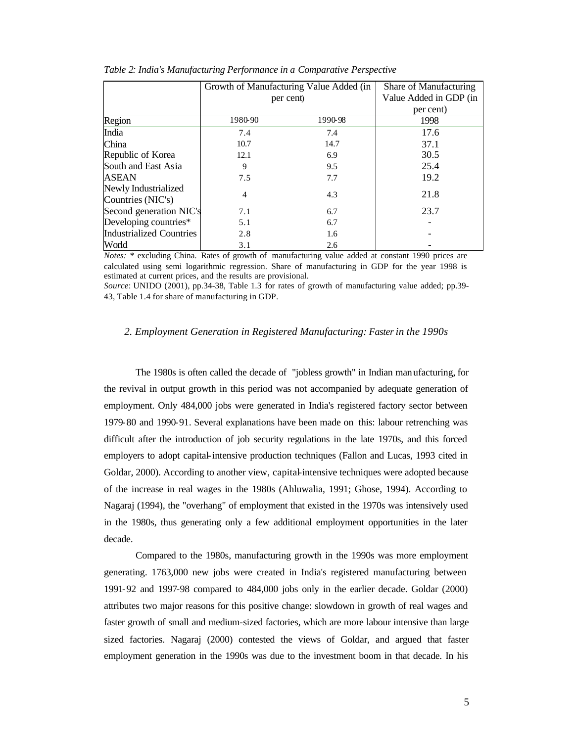|                                           | Growth of Manufacturing Value Added (in | Share of Manufacturing |      |
|-------------------------------------------|-----------------------------------------|------------------------|------|
|                                           | per cent)                               | Value Added in GDP (in |      |
|                                           |                                         | per cent)              |      |
| Region                                    | 1980-90                                 | 1990-98                | 1998 |
| India                                     | 7.4                                     | 7.4                    | 17.6 |
| China                                     | 10.7                                    | 14.7                   | 37.1 |
| Republic of Korea                         | 12.1                                    | 6.9                    | 30.5 |
| South and East Asia                       | 9                                       | 9.5                    | 25.4 |
| ASEAN                                     | 7.5                                     | 7.7                    | 19.2 |
| Newly Industrialized<br>Countries (NIC's) | 4                                       | 4.3                    | 21.8 |
| Second generation NIC's                   | 7.1                                     | 6.7                    | 23.7 |
| Developing countries*                     | 5.1                                     | 6.7                    |      |
| <b>Industrialized Countries</b>           | 2.8                                     | 1.6                    |      |
| World                                     | 3.1                                     | 2.6                    |      |

*Table 2: India's Manufacturing Performance in a Comparative Perspective*

*Notes:* \* excluding China. Rates of growth of manufacturing value added at constant 1990 prices are calculated using semi logarithmic regression. Share of manufacturing in GDP for the year 1998 is estimated at current prices, and the results are provisional.

*Source*: UNIDO (2001), pp.34-38, Table 1.3 for rates of growth of manufacturing value added; pp.39- 43, Table 1.4 for share of manufacturing in GDP.

## *2. Employment Generation in Registered Manufacturing: Faster in the 1990s*

The 1980s is often called the decade of "jobless growth" in Indian manufacturing, for the revival in output growth in this period was not accompanied by adequate generation of employment. Only 484,000 jobs were generated in India's registered factory sector between 1979-80 and 1990-91. Several explanations have been made on this: labour retrenching was difficult after the introduction of job security regulations in the late 1970s, and this forced employers to adopt capital-intensive production techniques (Fallon and Lucas, 1993 cited in Goldar, 2000). According to another view, capital-intensive techniques were adopted because of the increase in real wages in the 1980s (Ahluwalia, 1991; Ghose, 1994). According to Nagaraj (1994), the "overhang" of employment that existed in the 1970s was intensively used in the 1980s, thus generating only a few additional employment opportunities in the later decade.

Compared to the 1980s, manufacturing growth in the 1990s was more employment generating. 1763,000 new jobs were created in India's registered manufacturing between 1991-92 and 1997-98 compared to 484,000 jobs only in the earlier decade. Goldar (2000) attributes two major reasons for this positive change: slowdown in growth of real wages and faster growth of small and medium-sized factories, which are more labour intensive than large sized factories. Nagaraj (2000) contested the views of Goldar, and argued that faster employment generation in the 1990s was due to the investment boom in that decade. In his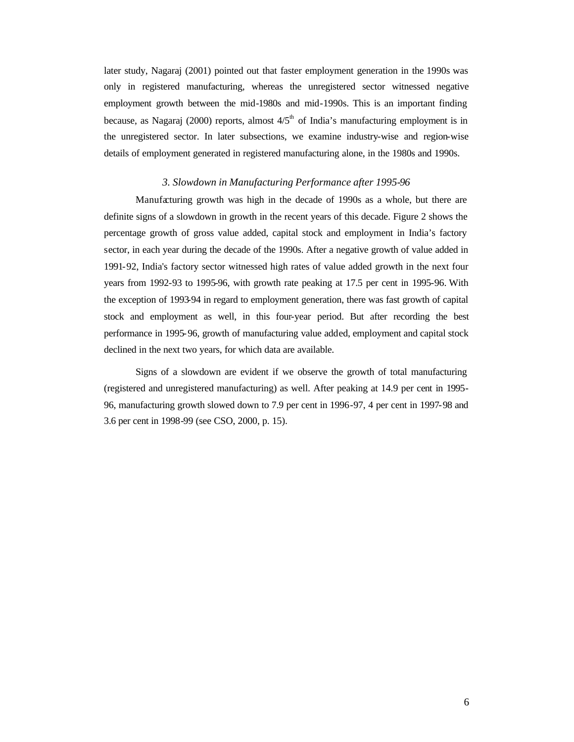later study, Nagaraj (2001) pointed out that faster employment generation in the 1990s was only in registered manufacturing, whereas the unregistered sector witnessed negative employment growth between the mid-1980s and mid-1990s. This is an important finding because, as Nagaraj (2000) reports, almost  $4/5<sup>th</sup>$  of India's manufacturing employment is in the unregistered sector. In later subsections, we examine industry-wise and region-wise details of employment generated in registered manufacturing alone, in the 1980s and 1990s.

## *3. Slowdown in Manufacturing Performance after 1995-96*

Manufacturing growth was high in the decade of 1990s as a whole, but there are definite signs of a slowdown in growth in the recent years of this decade. Figure 2 shows the percentage growth of gross value added, capital stock and employment in India's factory sector, in each year during the decade of the 1990s. After a negative growth of value added in 1991-92, India's factory sector witnessed high rates of value added growth in the next four years from 1992-93 to 1995-96, with growth rate peaking at 17.5 per cent in 1995-96. With the exception of 1993-94 in regard to employment generation, there was fast growth of capital stock and employment as well, in this four-year period. But after recording the best performance in 1995-96, growth of manufacturing value added, employment and capital stock declined in the next two years, for which data are available.

Signs of a slowdown are evident if we observe the growth of total manufacturing (registered and unregistered manufacturing) as well. After peaking at 14.9 per cent in 1995- 96, manufacturing growth slowed down to 7.9 per cent in 1996-97, 4 per cent in 1997-98 and 3.6 per cent in 1998-99 (see CSO, 2000, p. 15).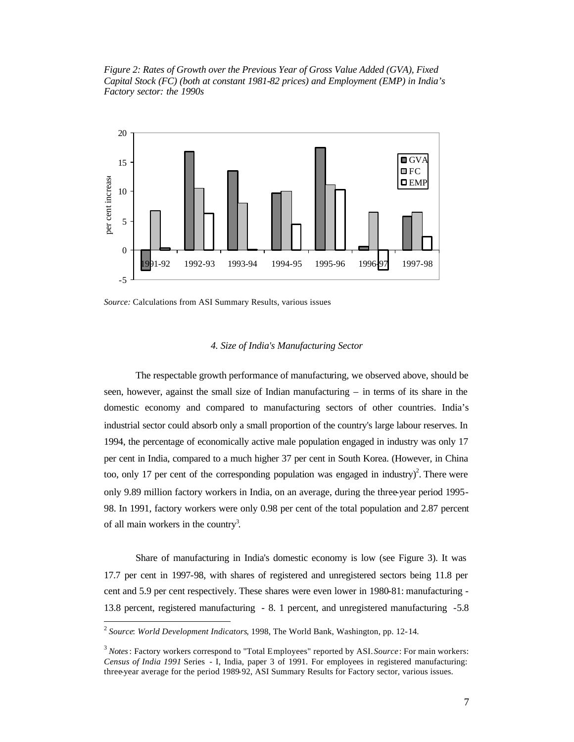*Figure 2: Rates of Growth over the Previous Year of Gross Value Added (GVA), Fixed Capital Stock (FC) (both at constant 1981-82 prices) and Employment (EMP) in India's Factory sector: the 1990s*



*Source:* Calculations from ASI Summary Results, various issues

### *4. Size of India's Manufacturing Sector*

The respectable growth performance of manufacturing, we observed above, should be seen, however, against the small size of Indian manufacturing – in terms of its share in the domestic economy and compared to manufacturing sectors of other countries. India's industrial sector could absorb only a small proportion of the country's large labour reserves. In 1994, the percentage of economically active male population engaged in industry was only 17 per cent in India, compared to a much higher 37 per cent in South Korea. (However, in China too, only 17 per cent of the corresponding population was engaged in industry)<sup>2</sup>. There were only 9.89 million factory workers in India, on an average, during the three-year period 1995- 98. In 1991, factory workers were only 0.98 per cent of the total population and 2.87 percent of all main workers in the country<sup>3</sup>.

Share of manufacturing in India's domestic economy is low (see Figure 3). It was 17.7 per cent in 1997-98, with shares of registered and unregistered sectors being 11.8 per cent and 5.9 per cent respectively. These shares were even lower in 1980-81: manufacturing - 13.8 percent, registered manufacturing - 8. 1 percent, and unregistered manufacturing -5.8 l

<sup>2</sup> *Source*: *World Development Indicators*, 1998, The World Bank, Washington, pp. 12-14.

<sup>3</sup> *Notes*: Factory workers correspond to "Total Employees" reported by ASI. *Source*: For main workers: *Census of India 1991* Series - I, India, paper 3 of 1991. For employees in registered manufacturing: three-year average for the period 1989-92, ASI Summary Results for Factory sector, various issues.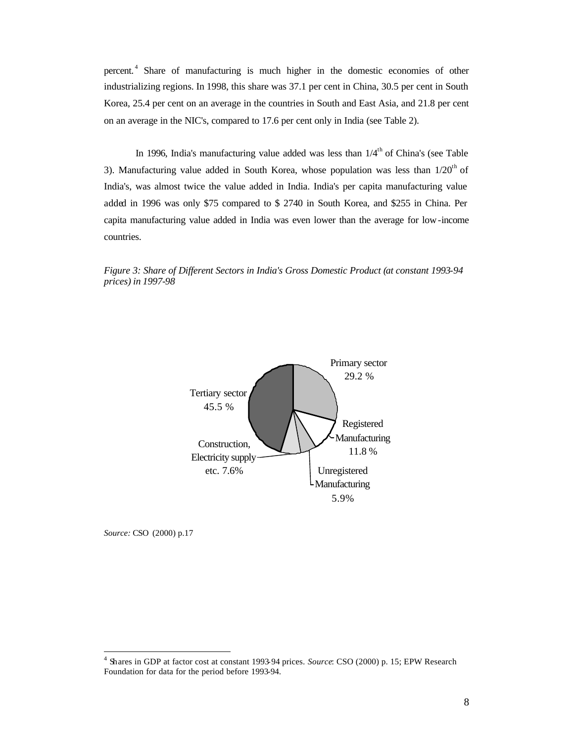percent. <sup>4</sup> Share of manufacturing is much higher in the domestic economies of other industrializing regions. In 1998, this share was 37.1 per cent in China, 30.5 per cent in South Korea, 25.4 per cent on an average in the countries in South and East Asia, and 21.8 per cent on an average in the NIC's, compared to 17.6 per cent only in India (see Table 2).

In 1996, India's manufacturing value added was less than  $1/4<sup>th</sup>$  of China's (see Table 3). Manufacturing value added in South Korea, whose population was less than  $1/20<sup>th</sup>$  of India's, was almost twice the value added in India. India's per capita manufacturing value added in 1996 was only \$75 compared to \$ 2740 in South Korea, and \$255 in China. Per capita manufacturing value added in India was even lower than the average for low-income countries.





*Source:* CSO (2000) p.17

 $\overline{a}$ 

<sup>4</sup> Shares in GDP at factor cost at constant 1993-94 prices. *Source*: CSO (2000) p. 15; EPW Research Foundation for data for the period before 1993-94.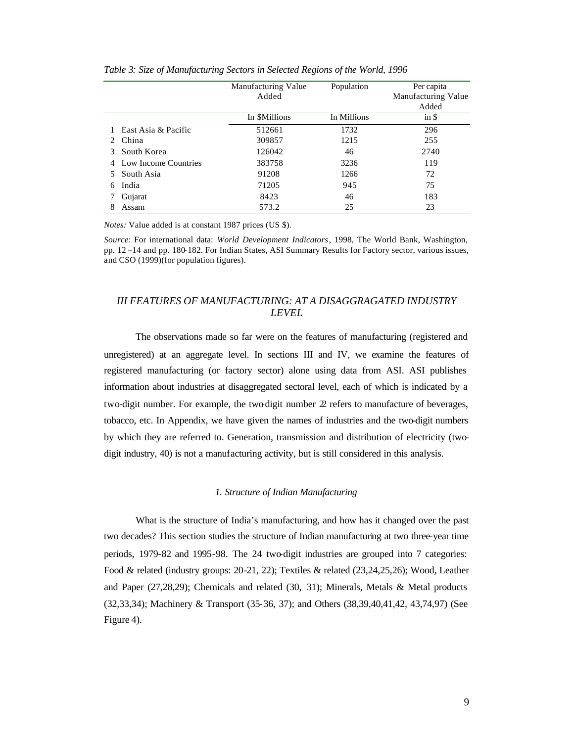|                                      | Manufacturing Value<br>Added | Population  | Per capita<br>Manufacturing Value<br>Added |
|--------------------------------------|------------------------------|-------------|--------------------------------------------|
|                                      | In \$Millions                | In Millions | $in$ \$                                    |
| East Asia & Pacific                  | 512661                       | 1732        | 296                                        |
| China<br>$\mathcal{D}_{\mathcal{L}}$ | 309857                       | 1215        | 255                                        |
| South Korea                          | 126042                       | 46          | 2740                                       |
| Low Income Countries                 | 383758                       | 3236        | 119                                        |
| South Asia                           | 91208                        | 1266        | 72                                         |
| India<br>6                           | 71205                        | 945         | 75                                         |
| Gujarat                              | 8423                         | 46          | 183                                        |
| Assam                                | 573.2                        | 25          | 23                                         |

*Table 3: Size of Manufacturing Sectors in Selected Regions of the World, 1996* 

*Notes:* Value added is at constant 1987 prices (US \$).

*Source*: For international data: *World Development Indicators*, 1998, The World Bank, Washington, pp. 12 –14 and pp. 180-182. For Indian States, ASI Summary Results for Factory sector, various issues, and CSO (1999)(for population figures).

## *III FEATURES OF MANUFACTURING: AT A DISAGGRAGATED INDUSTRY LEVEL*

The observations made so far were on the features of manufacturing (registered and unregistered) at an aggregate level. In sections III and IV, we examine the features of registered manufacturing (or factory sector) alone using data from ASI. ASI publishes information about industries at disaggregated sectoral level, each of which is indicated by a two-digit number. For example, the two-digit number  $2$  refers to manufacture of beverages, tobacco, etc. In Appendix, we have given the names of industries and the two-digit numbers by which they are referred to. Generation, transmission and distribution of electricity (twodigit industry, 40) is not a manufacturing activity, but is still considered in this analysis.

### *1. Structure of Indian Manufacturing*

What is the structure of India's manufacturing, and how has it changed over the past two decades? This section studies the structure of Indian manufacturing at two three-year time periods, 1979-82 and 1995-98. The 24 two-digit industries are grouped into 7 categories: Food & related (industry groups: 20-21, 22); Textiles & related (23,24,25,26); Wood, Leather and Paper (27,28,29); Chemicals and related (30, 31); Minerals, Metals & Metal products (32,33,34); Machinery & Transport (35-36, 37); and Others (38,39,40,41,42, 43,74,97) (See Figure 4).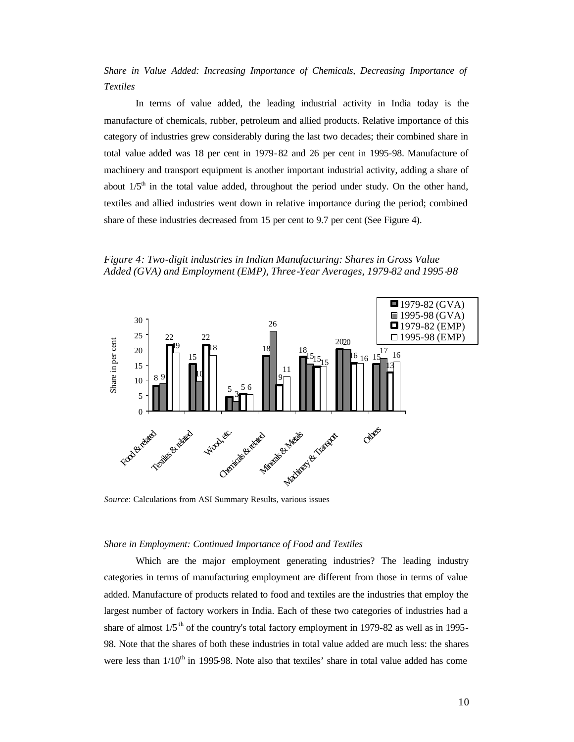*Share in Value Added: Increasing Importance of Chemicals, Decreasing Importance of Textiles*

In terms of value added, the leading industrial activity in India today is the manufacture of chemicals, rubber, petroleum and allied products. Relative importance of this category of industries grew considerably during the last two decades; their combined share in total value added was 18 per cent in 1979-82 and 26 per cent in 1995-98. Manufacture of machinery and transport equipment is another important industrial activity, adding a share of about  $1/5<sup>th</sup>$  in the total value added, throughout the period under study. On the other hand, textiles and allied industries went down in relative importance during the period; combined share of these industries decreased from 15 per cent to 9.7 per cent (See Figure 4).

*Figure 4: Two-digit industries in Indian Manufacturing: Shares in Gross Value Added (GVA) and Employment (EMP), Three-Year Averages, 1979-82 and 1995 -98*



*Source*: Calculations from ASI Summary Results, various issues

### *Share in Employment: Continued Importance of Food and Textiles*

Which are the major employment generating industries? The leading industry categories in terms of manufacturing employment are different from those in terms of value added. Manufacture of products related to food and textiles are the industries that employ the largest number of factory workers in India. Each of these two categories of industries had a share of almost  $1/5$ <sup>th</sup> of the country's total factory employment in 1979-82 as well as in 1995-98. Note that the shares of both these industries in total value added are much less: the shares were less than  $1/10<sup>th</sup>$  in 1995-98. Note also that textiles' share in total value added has come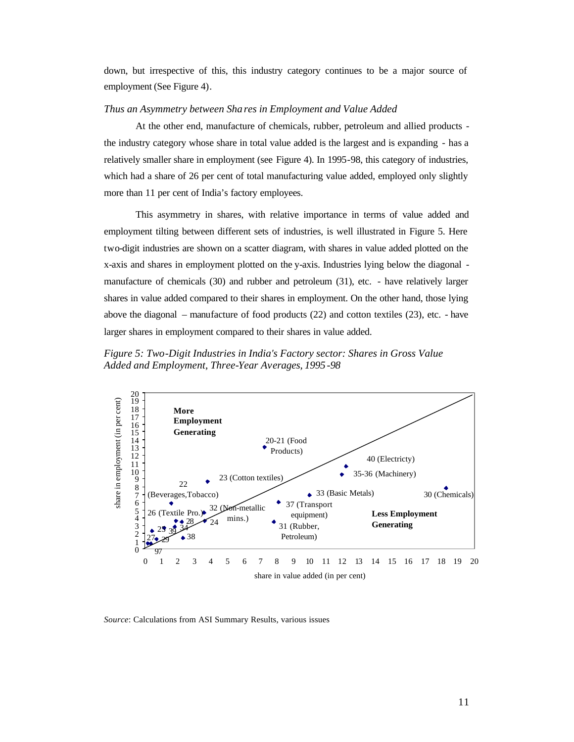down, but irrespective of this, this industry category continues to be a major source of employment (See Figure 4).

## *Thus an Asymmetry between Sha res in Employment and Value Added*

At the other end, manufacture of chemicals, rubber, petroleum and allied products the industry category whose share in total value added is the largest and is expanding - has a relatively smaller share in employment (see Figure 4). In 1995-98, this category of industries, which had a share of 26 per cent of total manufacturing value added, employed only slightly more than 11 per cent of India's factory employees.

This asymmetry in shares, with relative importance in terms of value added and employment tilting between different sets of industries, is well illustrated in Figure 5. Here two-digit industries are shown on a scatter diagram, with shares in value added plotted on the x-axis and shares in employment plotted on the y-axis. Industries lying below the diagonal manufacture of chemicals (30) and rubber and petroleum (31), etc. - have relatively larger shares in value added compared to their shares in employment. On the other hand, those lying above the diagonal – manufacture of food products (22) and cotton textiles (23), etc. - have larger shares in employment compared to their shares in value added.

*Figure 5: Two-Digit Industries in India's Factory sector: Shares in Gross Value Added and Employment, Three-Year Averages, 1995-98*



*Source*: Calculations from ASI Summary Results, various issues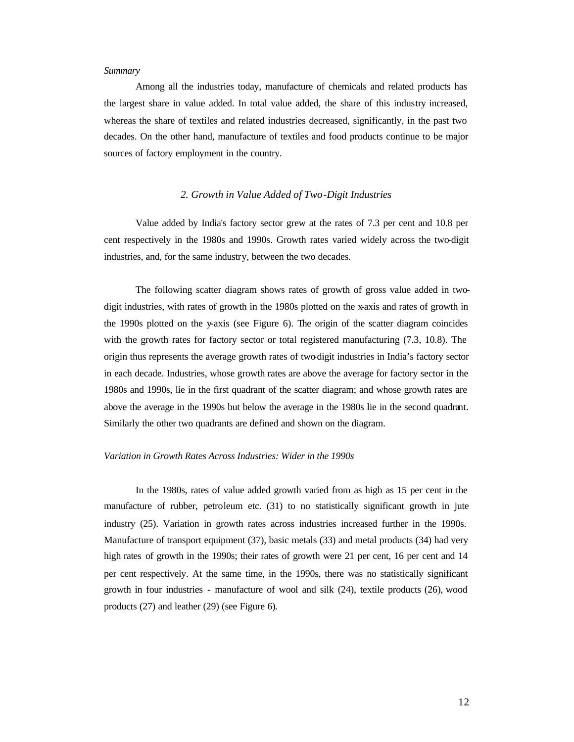### *Summary*

Among all the industries today, manufacture of chemicals and related products has the largest share in value added. In total value added, the share of this industry increased, whereas the share of textiles and related industries decreased, significantly, in the past two decades. On the other hand, manufacture of textiles and food products continue to be major sources of factory employment in the country.

## *2. Growth in Value Added of Two-Digit Industries*

Value added by India's factory sector grew at the rates of 7.3 per cent and 10.8 per cent respectively in the 1980s and 1990s. Growth rates varied widely across the two-digit industries, and, for the same industry, between the two decades.

The following scatter diagram shows rates of growth of gross value added in twodigit industries, with rates of growth in the 1980s plotted on the x-axis and rates of growth in the 1990s plotted on the y-axis (see Figure 6). The origin of the scatter diagram coincides with the growth rates for factory sector or total registered manufacturing  $(7.3, 10.8)$ . The origin thus represents the average growth rates of two-digit industries in India's factory sector in each decade. Industries, whose growth rates are above the average for factory sector in the 1980s and 1990s, lie in the first quadrant of the scatter diagram; and whose growth rates are above the average in the 1990s but below the average in the 1980s lie in the second quadrant. Similarly the other two quadrants are defined and shown on the diagram.

#### *Variation in Growth Rates Across Industries: Wider in the 1990s*

In the 1980s, rates of value added growth varied from as high as 15 per cent in the manufacture of rubber, petroleum etc. (31) to no statistically significant growth in jute industry (25). Variation in growth rates across industries increased further in the 1990s. Manufacture of transport equipment (37), basic metals (33) and metal products (34) had very high rates of growth in the 1990s; their rates of growth were 21 per cent, 16 per cent and 14 per cent respectively. At the same time, in the 1990s, there was no statistically significant growth in four industries - manufacture of wool and silk (24), textile products (26), wood products (27) and leather (29) (see Figure 6).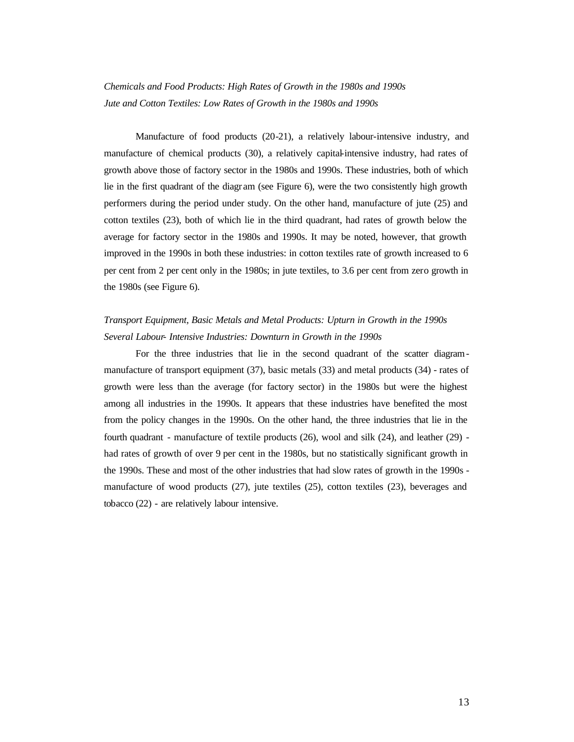# *Chemicals and Food Products: High Rates of Growth in the 1980s and 1990s Jute and Cotton Textiles: Low Rates of Growth in the 1980s and 1990s*

Manufacture of food products (20-21), a relatively labour-intensive industry, and manufacture of chemical products (30), a relatively capital-intensive industry, had rates of growth above those of factory sector in the 1980s and 1990s. These industries, both of which lie in the first quadrant of the diagr am (see Figure 6), were the two consistently high growth performers during the period under study. On the other hand, manufacture of jute (25) and cotton textiles (23), both of which lie in the third quadrant, had rates of growth below the average for factory sector in the 1980s and 1990s. It may be noted, however, that growth improved in the 1990s in both these industries: in cotton textiles rate of growth increased to 6 per cent from 2 per cent only in the 1980s; in jute textiles, to 3.6 per cent from zero growth in the 1980s (see Figure 6).

## *Transport Equipment, Basic Metals and Metal Products: Upturn in Growth in the 1990s Several Labour- Intensive Industries: Downturn in Growth in the 1990s*

For the three industries that lie in the second quadrant of the scatter diagrammanufacture of transport equipment (37), basic metals (33) and metal products (34) - rates of growth were less than the average (for factory sector) in the 1980s but were the highest among all industries in the 1990s. It appears that these industries have benefited the most from the policy changes in the 1990s. On the other hand, the three industries that lie in the fourth quadrant - manufacture of textile products (26), wool and silk (24), and leather (29) had rates of growth of over 9 per cent in the 1980s, but no statistically significant growth in the 1990s. These and most of the other industries that had slow rates of growth in the 1990s manufacture of wood products (27), jute textiles (25), cotton textiles (23), beverages and tobacco (22) - are relatively labour intensive.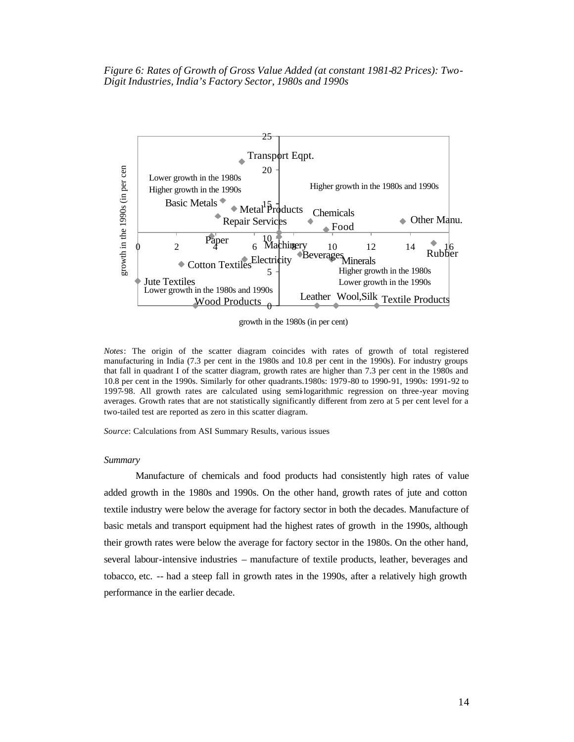*Figure 6: Rates of Growth of Gross Value Added (at constant 1981-82 Prices): Two-Digit Industries, India's Factory Sector, 1980s and 1990s*



growth in the 1980s (in per cent)

*Notes*: The origin of the scatter diagram coincides with rates of growth of total registered manufacturing in India (7.3 per cent in the 1980s and 10.8 per cent in the 1990s). For industry groups that fall in quadrant I of the scatter diagram, growth rates are higher than 7.3 per cent in the 1980s and 10.8 per cent in the 1990s. Similarly for other quadrants.1980s: 1979-80 to 1990-91, 1990s: 1991-92 to 1997-98. All growth rates are calculated using semi-logarithmic regression on three-year moving averages. Growth rates that are not statistically significantly different from zero at 5 per cent level for a two-tailed test are reported as zero in this scatter diagram.

*Source*: Calculations from ASI Summary Results, various issues

### *Summary*

Manufacture of chemicals and food products had consistently high rates of value added growth in the 1980s and 1990s. On the other hand, growth rates of jute and cotton textile industry were below the average for factory sector in both the decades. Manufacture of basic metals and transport equipment had the highest rates of growth in the 1990s, although their growth rates were below the average for factory sector in the 1980s. On the other hand, several labour-intensive industries – manufacture of textile products, leather, beverages and tobacco, etc. -- had a steep fall in growth rates in the 1990s, after a relatively high growth performance in the earlier decade.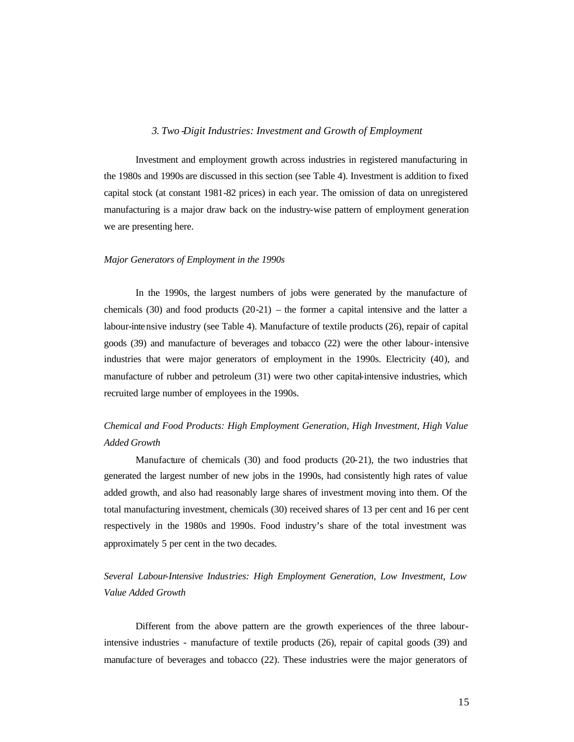### *3. Two -Digit Industries: Investment and Growth of Employment*

Investment and employment growth across industries in registered manufacturing in the 1980s and 1990s are discussed in this section (see Table 4). Investment is addition to fixed capital stock (at constant 1981-82 prices) in each year. The omission of data on unregistered manufacturing is a major draw back on the industry-wise pattern of employment generation we are presenting here.

### *Major Generators of Employment in the 1990s*

In the 1990s, the largest numbers of jobs were generated by the manufacture of chemicals  $(30)$  and food products  $(20-21)$  – the former a capital intensive and the latter a labour-intensive industry (see Table 4). Manufacture of textile products (26), repair of capital goods (39) and manufacture of beverages and tobacco (22) were the other labour-intensive industries that were major generators of employment in the 1990s. Electricity (40), and manufacture of rubber and petroleum (31) were two other capital-intensive industries, which recruited large number of employees in the 1990s.

## *Chemical and Food Products: High Employment Generation, High Investment, High Value Added Growth*

Manufacture of chemicals (30) and food products (20-21), the two industries that generated the largest number of new jobs in the 1990s, had consistently high rates of value added growth, and also had reasonably large shares of investment moving into them. Of the total manufacturing investment, chemicals (30) received shares of 13 per cent and 16 per cent respectively in the 1980s and 1990s. Food industry's share of the total investment was approximately 5 per cent in the two decades.

## *Several Labour-Intensive Industries: High Employment Generation, Low Investment, Low Value Added Growth*

Different from the above pattern are the growth experiences of the three labourintensive industries - manufacture of textile products (26), repair of capital goods (39) and manufacture of beverages and tobacco (22). These industries were the major generators of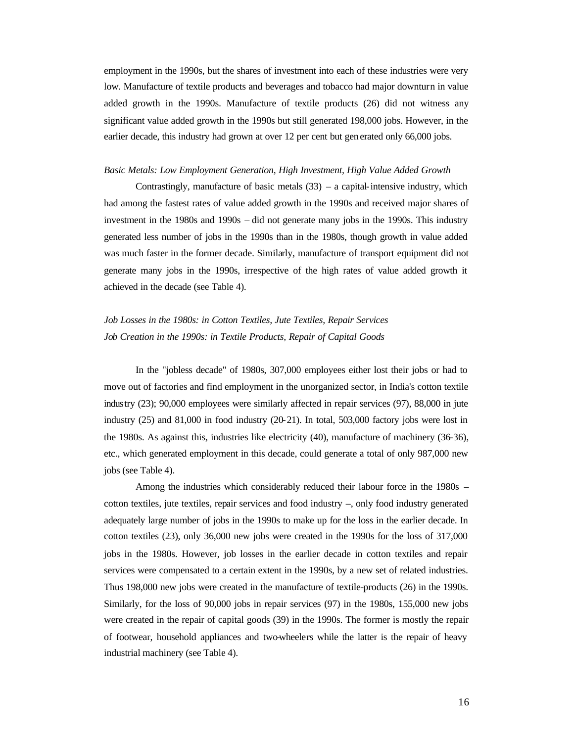employment in the 1990s, but the shares of investment into each of these industries were very low. Manufacture of textile products and beverages and tobacco had major downturn in value added growth in the 1990s. Manufacture of textile products (26) did not witness any significant value added growth in the 1990s but still generated 198,000 jobs. However, in the earlier decade, this industry had grown at over 12 per cent but gen erated only 66,000 jobs.

#### *Basic Metals: Low Employment Generation, High Investment, High Value Added Growth*

Contrastingly, manufacture of basic metals  $(33)$  – a capital-intensive industry, which had among the fastest rates of value added growth in the 1990s and received major shares of investment in the 1980s and 1990s – did not generate many jobs in the 1990s. This industry generated less number of jobs in the 1990s than in the 1980s, though growth in value added was much faster in the former decade. Similarly, manufacture of transport equipment did not generate many jobs in the 1990s, irrespective of the high rates of value added growth it achieved in the decade (see Table 4).

# *Job Losses in the 1980s: in Cotton Textiles, Jute Textiles, Repair Services Job Creation in the 1990s: in Textile Products, Repair of Capital Goods*

In the "jobless decade" of 1980s, 307,000 employees either lost their jobs or had to move out of factories and find employment in the unorganized sector, in India's cotton textile industry (23); 90,000 employees were similarly affected in repair services (97), 88,000 in jute industry (25) and 81,000 in food industry (20-21). In total, 503,000 factory jobs were lost in the 1980s. As against this, industries like electricity (40), manufacture of machinery (36-36), etc., which generated employment in this decade, could generate a total of only 987,000 new jobs (see Table 4).

Among the industries which considerably reduced their labour force in the 1980s – cotton textiles, jute textiles, repair services and food industry –, only food industry generated adequately large number of jobs in the 1990s to make up for the loss in the earlier decade. In cotton textiles (23), only 36,000 new jobs were created in the 1990s for the loss of 317,000 jobs in the 1980s. However, job losses in the earlier decade in cotton textiles and repair services were compensated to a certain extent in the 1990s, by a new set of related industries. Thus 198,000 new jobs were created in the manufacture of textile-products (26) in the 1990s. Similarly, for the loss of 90,000 jobs in repair services (97) in the 1980s, 155,000 new jobs were created in the repair of capital goods (39) in the 1990s. The former is mostly the repair of footwear, household appliances and two-wheelers while the latter is the repair of heavy industrial machinery (see Table 4).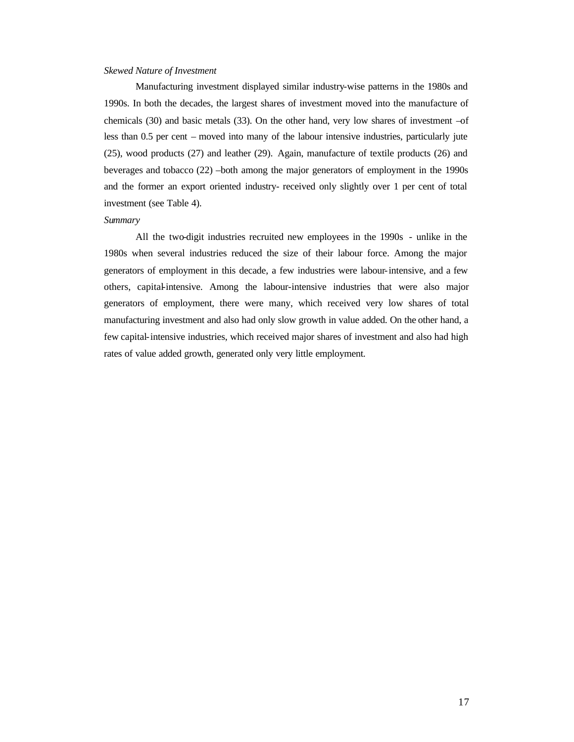### *Skewed Nature of Investment*

Manufacturing investment displayed similar industry-wise patterns in the 1980s and 1990s. In both the decades, the largest shares of investment moved into the manufacture of chemicals (30) and basic metals (33). On the other hand, very low shares of investment –of less than 0.5 per cent – moved into many of the labour intensive industries, particularly jute (25), wood products (27) and leather (29). Again, manufacture of textile products (26) and beverages and tobacco (22) –both among the major generators of employment in the 1990s and the former an export oriented industry- received only slightly over 1 per cent of total investment (see Table 4).

#### *Summary*

All the two-digit industries recruited new employees in the 1990s - unlike in the 1980s when several industries reduced the size of their labour force. Among the major generators of employment in this decade, a few industries were labour-intensive, and a few others, capital-intensive. Among the labour-intensive industries that were also major generators of employment, there were many, which received very low shares of total manufacturing investment and also had only slow growth in value added. On the other hand, a few capital-intensive industries, which received major shares of investment and also had high rates of value added growth, generated only very little employment.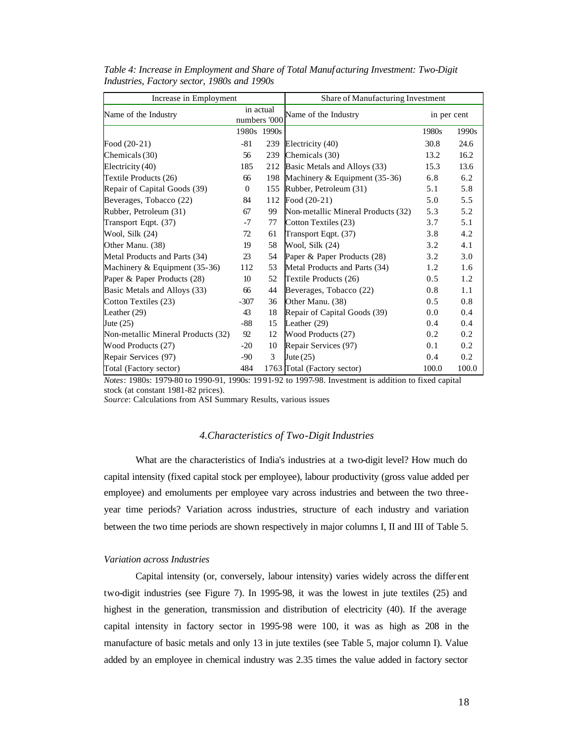| Increase in Employment             |                           |             | Share of Manufacturing Investment  |             |       |  |
|------------------------------------|---------------------------|-------------|------------------------------------|-------------|-------|--|
| Name of the Industry               | in actual<br>numbers '000 |             | Name of the Industry               | in per cent |       |  |
|                                    |                           | 1980s 1990s |                                    | 1980s       | 1990s |  |
| Food $(20-21)$                     | $-81$                     | 239         | Electricity (40)                   | 30.8        | 24.6  |  |
| Chemicals (30)                     | 56                        | 239         | Chemicals (30)                     | 13.2        | 16.2  |  |
| Electricity (40)                   | 185                       | 212         | Basic Metals and Alloys (33)       | 15.3        | 13.6  |  |
| Textile Products (26)              | 66                        | 198         | Machinery & Equipment (35-36)      | 6.8         | 6.2   |  |
| Repair of Capital Goods (39)       | $\overline{0}$            | 155         | Rubber, Petroleum (31)             | 5.1         | 5.8   |  |
| Beverages, Tobacco (22)            | 84                        | 112         | Food $(20-21)$                     | 5.0         | 5.5   |  |
| Rubber, Petroleum (31)             | 67                        | 99          | Non-metallic Mineral Products (32) | 5.3         | 5.2   |  |
| Transport Eqpt. (37)               | $-7$                      | 77          | Cotton Textiles (23)               | 3.7         | 5.1   |  |
| Wool, Silk (24)                    | 72                        | 61          | Transport Eqpt. (37)               | 3.8         | 4.2   |  |
| Other Manu. (38)                   | 19                        | 58          | Wool, Silk (24)                    | 3.2         | 4.1   |  |
| Metal Products and Parts (34)      | 23                        | 54          | Paper & Paper Products (28)        | 3.2         | 3.0   |  |
| Machinery & Equipment (35-36)      | 112                       | 53          | Metal Products and Parts (34)      | 1.2         | 1.6   |  |
| Paper & Paper Products (28)        | 10                        | 52          | Textile Products (26)              | 0.5         | 1.2   |  |
| Basic Metals and Alloys (33)       | 66                        | 44          | Beverages, Tobacco (22)            | 0.8         | 1.1   |  |
| Cotton Textiles (23)               | $-307$                    | 36          | Other Manu. (38)                   | 0.5         | 0.8   |  |
| Leather $(29)$                     | 43                        | 18          | Repair of Capital Goods (39)       | 0.0         | 0.4   |  |
| Jute $(25)$                        | -88                       | 15          | Leather (29)                       | 0.4         | 0.4   |  |
| Non-metallic Mineral Products (32) | 92                        | 12          | Wood Products (27)                 | 0.2         | 0.2   |  |
| Wood Products (27)                 | $-20$                     | 10          | Repair Services (97)               | 0.1         | 0.2   |  |
| Repair Services (97)               | $-90$                     | 3           | Jute $(25)$                        | 0.4         | 0.2   |  |
| Total (Factory sector)             | 484                       |             | 1763 Total (Factory sector)        | 100.0       | 100.0 |  |

*Table 4: Increase in Employment and Share of Total Manuf acturing Investment: Two-Digit Industries, Factory sector, 1980s and 1990s* 

*Notes*: 1980s: 1979-80 to 1990-91, 1990s: 19 91-92 to 1997-98. Investment is addition to fixed capital stock (at constant 1981-82 prices).

*Source*: Calculations from ASI Summary Results, various issues

## *4.Characteristics of Two-Digit Industries*

What are the characteristics of India's industries at a two-digit level? How much do capital intensity (fixed capital stock per employee), labour productivity (gross value added per employee) and emoluments per employee vary across industries and between the two threeyear time periods? Variation across industries, structure of each industry and variation between the two time periods are shown respectively in major columns I, II and III of Table 5.

## *Variation across Industries*

Capital intensity (or, conversely, labour intensity) varies widely across the differ ent two-digit industries (see Figure 7). In 1995-98, it was the lowest in jute textiles (25) and highest in the generation, transmission and distribution of electricity (40). If the average capital intensity in factory sector in 1995-98 were 100, it was as high as 208 in the manufacture of basic metals and only 13 in jute textiles (see Table 5, major column I). Value added by an employee in chemical industry was 2.35 times the value added in factory sector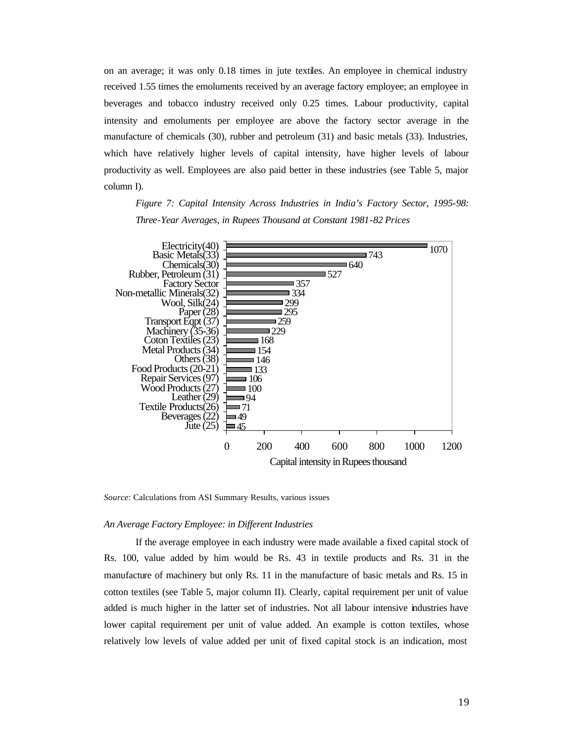on an average; it was only 0.18 times in jute textiles. An employee in chemical industry received 1.55 times the emoluments received by an average factory employee; an employee in beverages and tobacco industry received only 0.25 times. Labour productivity, capital intensity and emoluments per employee are above the factory sector average in the manufacture of chemicals (30), rubber and petroleum (31) and basic metals (33). Industries, which have relatively higher levels of capital intensity, have higher levels of labour productivity as well. Employees are also paid better in these industries (see Table 5, major column I).

*Figure 7: Capital Intensity Across Industries in India's Factory Sector, 1995-98: Three-Year Averages, in Rupees Thousand at Constant 1981-82 Prices*



*Source*: Calculations from ASI Summary Results, various issues

## *An Average Factory Employee: in Different Industries*

If the average employee in each industry were made available a fixed capital stock of Rs. 100, value added by him would be Rs. 43 in textile products and Rs. 31 in the manufacture of machinery but only Rs. 11 in the manufacture of basic metals and Rs. 15 in cotton textiles (see Table 5, major column II). Clearly, capital requirement per unit of value added is much higher in the latter set of industries. Not all labour intensive industries have lower capital requirement per unit of value added. An example is cotton textiles, whose relatively low levels of value added per unit of fixed capital stock is an indication, most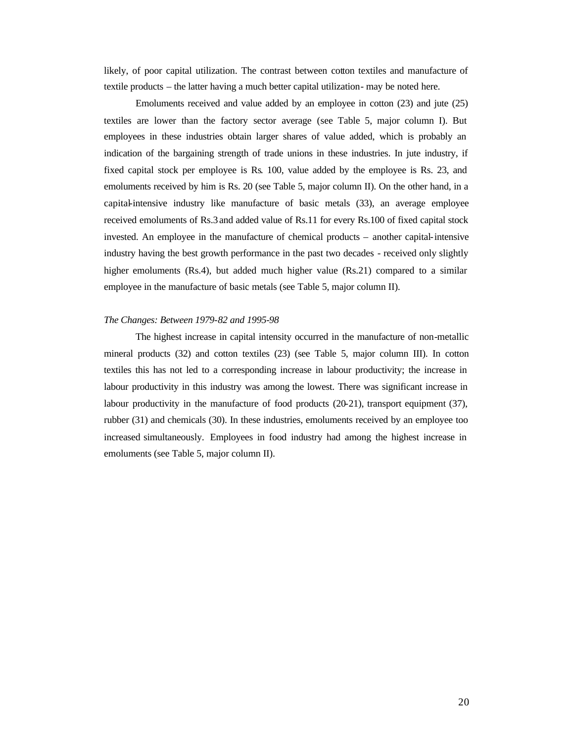likely, of poor capital utilization. The contrast between cotton textiles and manufacture of textile products – the latter having a much better capital utilization- may be noted here.

Emoluments received and value added by an employee in cotton (23) and jute (25) textiles are lower than the factory sector average (see Table 5, major column I). But employees in these industries obtain larger shares of value added, which is probably an indication of the bargaining strength of trade unions in these industries. In jute industry, if fixed capital stock per employee is Rs. 100, value added by the employee is Rs. 23, and emoluments received by him is Rs. 20 (see Table 5, major column II). On the other hand, in a capital-intensive industry like manufacture of basic metals (33), an average employee received emoluments of Rs.3 and added value of Rs.11 for every Rs.100 of fixed capital stock invested. An employee in the manufacture of chemical products – another capital-intensive industry having the best growth performance in the past two decades - received only slightly higher emoluments (Rs.4), but added much higher value (Rs.21) compared to a similar employee in the manufacture of basic metals (see Table 5, major column II).

## *The Changes: Between 1979-82 and 1995-98*

The highest increase in capital intensity occurred in the manufacture of non-metallic mineral products (32) and cotton textiles (23) (see Table 5, major column III). In cotton textiles this has not led to a corresponding increase in labour productivity; the increase in labour productivity in this industry was among the lowest. There was significant increase in labour productivity in the manufacture of food products (20-21), transport equipment (37), rubber (31) and chemicals (30). In these industries, emoluments received by an employee too increased simultaneously. Employees in food industry had among the highest increase in emoluments (see Table 5, major column II).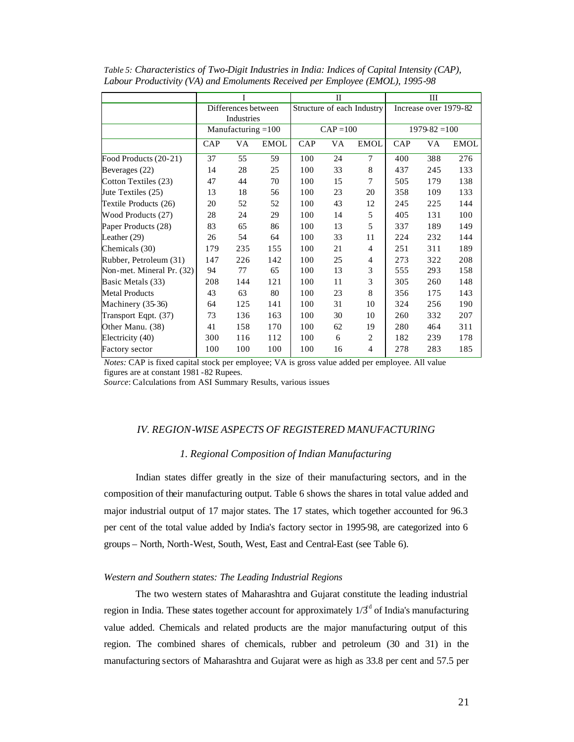|                           |                     | I                    |                            |             | $_{\rm II}$           |                |               | Ш   |      |
|---------------------------|---------------------|----------------------|----------------------------|-------------|-----------------------|----------------|---------------|-----|------|
|                           | Differences between |                      | Structure of each Industry |             | Increase over 1979-82 |                |               |     |      |
|                           | Industries          |                      |                            |             |                       |                |               |     |      |
|                           |                     | Manufacturing $=100$ |                            | $CAP = 100$ |                       |                | $1979-82=100$ |     |      |
|                           | CAP                 | VA                   | <b>EMOL</b>                | CAP         | VA                    | <b>EMOL</b>    | CAP           | VA  | EMOL |
| Food Products (20-21)     | 37                  | 55                   | 59                         | 100         | 24                    | $\tau$         | 400           | 388 | 276  |
| Beverages (22)            | 14                  | 28                   | 25                         | 100         | 33                    | 8              | 437           | 245 | 133  |
| Cotton Textiles (23)      | 47                  | 44                   | 70                         | 100         | 15                    | 7              | 505           | 179 | 138  |
| Jute Textiles (25)        | 13                  | 18                   | 56                         | 100         | 23                    | 20             | 358           | 109 | 133  |
| Textile Products (26)     | 20                  | 52                   | 52                         | 100         | 43                    | 12             | 245           | 225 | 144  |
| Wood Products (27)        | 28                  | 24                   | 29                         | 100         | 14                    | 5              | 405           | 131 | 100  |
| Paper Products (28)       | 83                  | 65                   | 86                         | 100         | 13                    | 5              | 337           | 189 | 149  |
| Leather $(29)$            | 26                  | 54                   | 64                         | 100         | 33                    | 11             | 224           | 232 | 144  |
| Chemicals (30)            | 179                 | 235                  | 155                        | 100         | 21                    | $\overline{4}$ | 251           | 311 | 189  |
| Rubber, Petroleum (31)    | 147                 | 226                  | 142                        | 100         | 25                    | 4              | 273           | 322 | 208  |
| Non-met. Mineral Pr. (32) | 94                  | 77                   | 65                         | 100         | 13                    | 3              | 555           | 293 | 158  |
| Basic Metals (33)         | 208                 | 144                  | 121                        | 100         | 11                    | 3              | 305           | 260 | 148  |
| <b>Metal Products</b>     | 43                  | 63                   | 80                         | 100         | 23                    | 8              | 356           | 175 | 143  |
| Machinery (35-36)         | 64                  | 125                  | 141                        | 100         | 31                    | 10             | 324           | 256 | 190  |
| Transport Eqpt. (37)      | 73                  | 136                  | 163                        | 100         | 30                    | 10             | 260           | 332 | 207  |
| Other Manu. (38)          | 41                  | 158                  | 170                        | 100         | 62                    | 19             | 280           | 464 | 311  |
| Electricity (40)          | 300                 | 116                  | 112                        | 100         | 6                     | $\overline{c}$ | 182           | 239 | 178  |
| Factory sector            | 100                 | 100                  | 100                        | 100         | 16                    | 4              | 278           | 283 | 185  |

*Table 5: Characteristics of Two-Digit Industries in India: Indices of Capital Intensity (CAP), Labour Productivity (VA) and Emoluments Received per Employee (EMOL), 1995-98*

*Notes:* CAP is fixed capital stock per employee; VA is gross value added per employee. All value figures are at constant 1981 -82 Rupees.

*Source*: Calculations from ASI Summary Results, various issues

## *IV. REGION-WISE ASPECTS OF REGISTERED MANUFACTURING*

## *1. Regional Composition of Indian Manufacturing*

Indian states differ greatly in the size of their manufacturing sectors, and in the composition of their manufacturing output. Table 6 shows the shares in total value added and major industrial output of 17 major states. The 17 states, which together accounted for 96.3 per cent of the total value added by India's factory sector in 1995-98, are categorized into 6 groups – North, North-West, South, West, East and Central-East (see Table 6).

## *Western and Southern states: The Leading Industrial Regions*

The two western states of Maharashtra and Gujarat constitute the leading industrial region in India. These states together account for approximately  $1/3<sup>d</sup>$  of India's manufacturing value added. Chemicals and related products are the major manufacturing output of this region. The combined shares of chemicals, rubber and petroleum (30 and 31) in the manufacturing sectors of Maharashtra and Gujarat were as high as 33.8 per cent and 57.5 per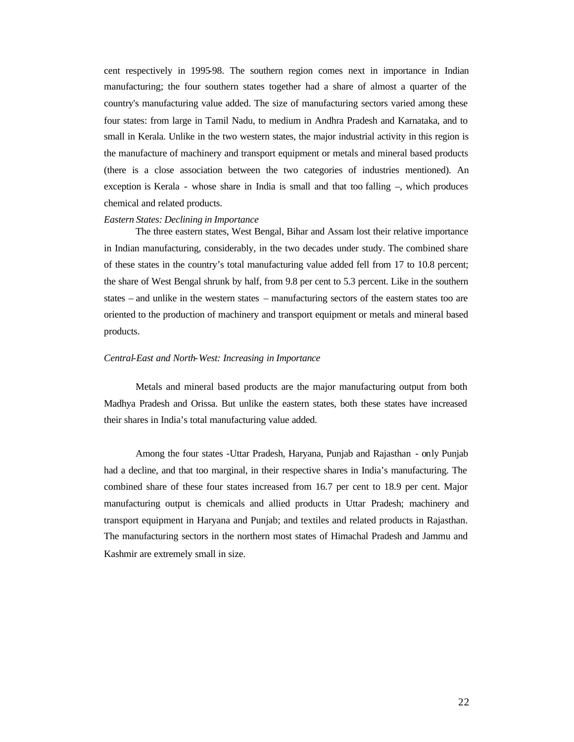cent respectively in 1995-98. The southern region comes next in importance in Indian manufacturing; the four southern states together had a share of almost a quarter of the country's manufacturing value added. The size of manufacturing sectors varied among these four states: from large in Tamil Nadu, to medium in Andhra Pradesh and Karnataka, and to small in Kerala. Unlike in the two western states, the major industrial activity in this region is the manufacture of machinery and transport equipment or metals and mineral based products (there is a close association between the two categories of industries mentioned). An exception is Kerala - whose share in India is small and that too falling –, which produces chemical and related products.

#### *Eastern States: Declining in Importance*

The three eastern states, West Bengal, Bihar and Assam lost their relative importance in Indian manufacturing, considerably, in the two decades under study. The combined share of these states in the country's total manufacturing value added fell from 17 to 10.8 percent; the share of West Bengal shrunk by half, from 9.8 per cent to 5.3 percent. Like in the southern states – and unlike in the western states – manufacturing sectors of the eastern states too are oriented to the production of machinery and transport equipment or metals and mineral based products.

### *Central-East and North-West: Increasing in Importance*

Metals and mineral based products are the major manufacturing output from both Madhya Pradesh and Orissa. But unlike the eastern states, both these states have increased their shares in India's total manufacturing value added.

Among the four states -Uttar Pradesh, Haryana, Punjab and Rajasthan - only Punjab had a decline, and that too marginal, in their respective shares in India's manufacturing. The combined share of these four states increased from 16.7 per cent to 18.9 per cent. Major manufacturing output is chemicals and allied products in Uttar Pradesh; machinery and transport equipment in Haryana and Punjab; and textiles and related products in Rajasthan. The manufacturing sectors in the northern most states of Himachal Pradesh and Jammu and Kashmir are extremely small in size.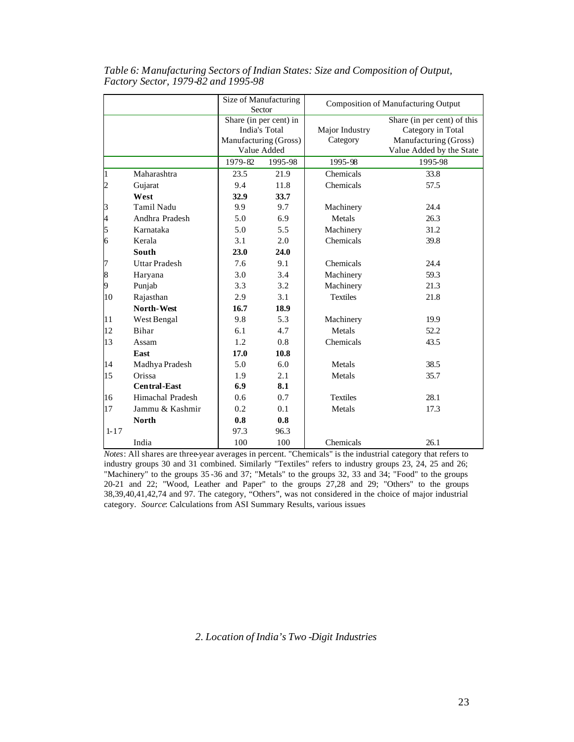|                          |                      |         | Size of Manufacturing<br>Sector                                                 | <b>Composition of Manufacturing Output</b> |                                                                                                       |  |
|--------------------------|----------------------|---------|---------------------------------------------------------------------------------|--------------------------------------------|-------------------------------------------------------------------------------------------------------|--|
|                          |                      |         | Share (in per cent) in<br>India's Total<br>Manufacturing (Gross)<br>Value Added | Major Industry<br>Category                 | Share (in per cent) of this<br>Category in Total<br>Manufacturing (Gross)<br>Value Added by the State |  |
|                          |                      | 1979-82 | 1995-98                                                                         | 1995-98                                    | 1995-98                                                                                               |  |
| 1                        | Maharashtra          | 23.5    | 21.9                                                                            | Chemicals                                  | 33.8                                                                                                  |  |
| $\overline{c}$           | Gujarat              | 9.4     | 11.8                                                                            | Chemicals                                  | 57.5                                                                                                  |  |
|                          | West                 | 32.9    | 33.7                                                                            |                                            |                                                                                                       |  |
| 3                        | Tamil Nadu           | 9.9     | 9.7                                                                             | Machinery                                  | 24.4                                                                                                  |  |
| $\overline{\mathcal{A}}$ | Andhra Pradesh       | 5.0     | 6.9                                                                             | Metals                                     | 26.3                                                                                                  |  |
| 5                        | Karnataka            | 5.0     | 5.5                                                                             | Machinery                                  | 31.2                                                                                                  |  |
| 6                        | Kerala               | 3.1     | 2.0                                                                             | Chemicals                                  | 39.8                                                                                                  |  |
|                          | <b>South</b>         | 23.0    | 24.0                                                                            |                                            |                                                                                                       |  |
| 7                        | <b>Uttar Pradesh</b> | 7.6     | 9.1                                                                             | Chemicals                                  | 24.4                                                                                                  |  |
| $\bf 8$                  | Haryana              | 3.0     | 3.4                                                                             | Machinery                                  | 59.3                                                                                                  |  |
| 9                        | Punjab               | 3.3     | 3.2                                                                             | Machinery                                  | 21.3                                                                                                  |  |
| 10                       | Rajasthan            | 2.9     | 3.1                                                                             | <b>Textiles</b>                            | 21.8                                                                                                  |  |
|                          | <b>North-West</b>    | 16.7    | 18.9                                                                            |                                            |                                                                                                       |  |
| 11                       | West Bengal          | 9.8     | 5.3                                                                             | Machinery                                  | 19.9                                                                                                  |  |
| 12                       | Bihar                | 6.1     | 4.7                                                                             | Metals                                     | 52.2                                                                                                  |  |
| 13                       | Assam                | 1.2     | 0.8                                                                             | Chemicals                                  | 43.5                                                                                                  |  |
|                          | East                 | 17.0    | 10.8                                                                            |                                            |                                                                                                       |  |
| 14                       | Madhya Pradesh       | 5.0     | 6.0                                                                             | Metals                                     | 38.5                                                                                                  |  |
| 15                       | Orissa               | 1.9     | 2.1                                                                             | Metals                                     | 35.7                                                                                                  |  |
|                          | <b>Central-East</b>  | 6.9     | 8.1                                                                             |                                            |                                                                                                       |  |
| 16                       | Himachal Pradesh     | 0.6     | 0.7                                                                             | <b>Textiles</b>                            | 28.1                                                                                                  |  |
| 17                       | Jammu & Kashmir      | 0.2     | 0.1                                                                             | Metals                                     | 17.3                                                                                                  |  |
|                          | <b>North</b>         | 0.8     | 0.8                                                                             |                                            |                                                                                                       |  |
| $1 - 17$                 |                      | 97.3    | 96.3                                                                            |                                            |                                                                                                       |  |
|                          | India                | 100     | 100                                                                             | Chemicals                                  | 26.1                                                                                                  |  |

*Table 6: Manufacturing Sectors of Indian States: Size and Composition of Output, Factory Sector, 1979-82 and 1995-98* 

*Notes*: All shares are three-year averages in percent. "Chemicals" is the industrial category that refers to industry groups 30 and 31 combined. Similarly "Textiles" refers to industry groups 23, 24, 25 and 26; "Machinery" to the groups 35 -36 and 37; "Metals" to the groups 32, 33 and 34; "Food" to the groups 20-21 and 22; "Wood, Leather and Paper" to the groups 27,28 and 29; "Others" to the groups 38,39,40,41,42,74 and 97. The category, "Others", was not considered in the choice of major industrial category. *Source*: Calculations from ASI Summary Results, various issues

*2. Location of India's Two -Digit Industries*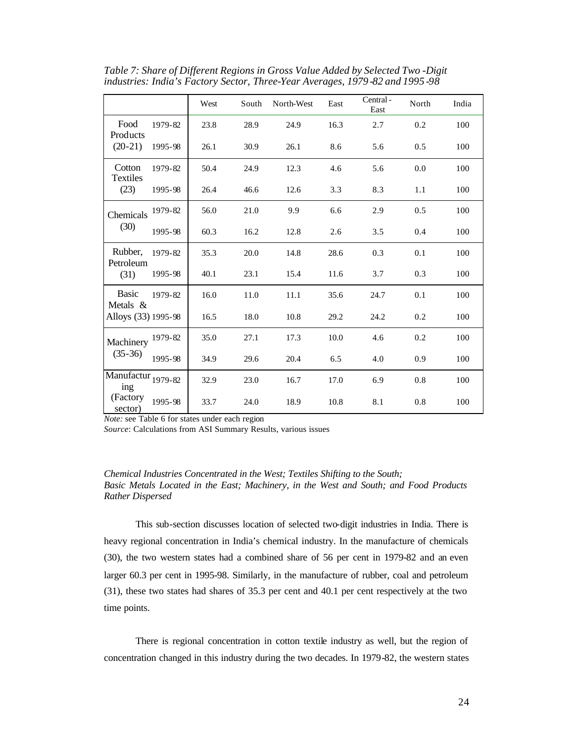|                                                           |         | West | South | North-West | East | Central-<br>East | North | India |
|-----------------------------------------------------------|---------|------|-------|------------|------|------------------|-------|-------|
| Food<br>Products                                          | 1979-82 | 23.8 | 28.9  | 24.9       | 16.3 | 2.7              | 0.2   | 100   |
| $(20-21)$                                                 | 1995-98 | 26.1 | 30.9  | 26.1       | 8.6  | 5.6              | 0.5   | 100   |
| Cotton<br><b>Textiles</b>                                 | 1979-82 | 50.4 | 24.9  | 12.3       | 4.6  | 5.6              | 0.0   | 100   |
| (23)                                                      | 1995-98 | 26.4 | 46.6  | 12.6       | 3.3  | 8.3              | 1.1   | 100   |
| Chemicals                                                 | 1979-82 | 56.0 | 21.0  | 9.9        | 6.6  | 2.9              | 0.5   | 100   |
| (30)                                                      | 1995-98 | 60.3 | 16.2  | 12.8       | 2.6  | 3.5              | 0.4   | 100   |
| Rubber,<br>Petroleum                                      | 1979-82 | 35.3 | 20.0  | 14.8       | 28.6 | 0.3              | 0.1   | 100   |
| (31)                                                      | 1995-98 | 40.1 | 23.1  | 15.4       | 11.6 | 3.7              | 0.3   | 100   |
| <b>Basic</b><br>Metals $&$                                | 1979-82 | 16.0 | 11.0  | 11.1       | 35.6 | 24.7             | 0.1   | 100   |
| Alloys (33) 1995-98                                       |         | 16.5 | 18.0  | 10.8       | 29.2 | 24.2             | 0.2   | 100   |
| Machinery                                                 | 1979-82 | 35.0 | 27.1  | 17.3       | 10.0 | 4.6              | 0.2   | 100   |
| $(35-36)$                                                 | 1995-98 | 34.9 | 29.6  | 20.4       | 6.5  | 4.0              | 0.9   | 100   |
| $\overline{\text{Man}}$ ufactur <sub>1979-82</sub><br>ing |         | 32.9 | 23.0  | 16.7       | 17.0 | 6.9              | 0.8   | 100   |
| (Factory)<br>sector)                                      | 1995-98 | 33.7 | 24.0  | 18.9       | 10.8 | 8.1              | 0.8   | 100   |

*Table 7: Share of Different Regions in Gross Value Added by Selected Two -Digit industries: India's Factory Sector, Three-Year Averages, 1979 -82 and 1995 -98*

*Note:* see Table 6 for states under each region

*Source*: Calculations from ASI Summary Results, various issues

## *Chemical Industries Concentrated in the West; Textiles Shifting to the South; Basic Metals Located in the East; Machinery, in the West and South; and Food Products Rather Dispersed*

This sub-section discusses location of selected two-digit industries in India. There is heavy regional concentration in India's chemical industry. In the manufacture of chemicals (30), the two western states had a combined share of 56 per cent in 1979-82 and an even larger 60.3 per cent in 1995-98. Similarly, in the manufacture of rubber, coal and petroleum (31), these two states had shares of 35.3 per cent and 40.1 per cent respectively at the two time points.

There is regional concentration in cotton textile industry as well, but the region of concentration changed in this industry during the two decades. In 1979-82, the western states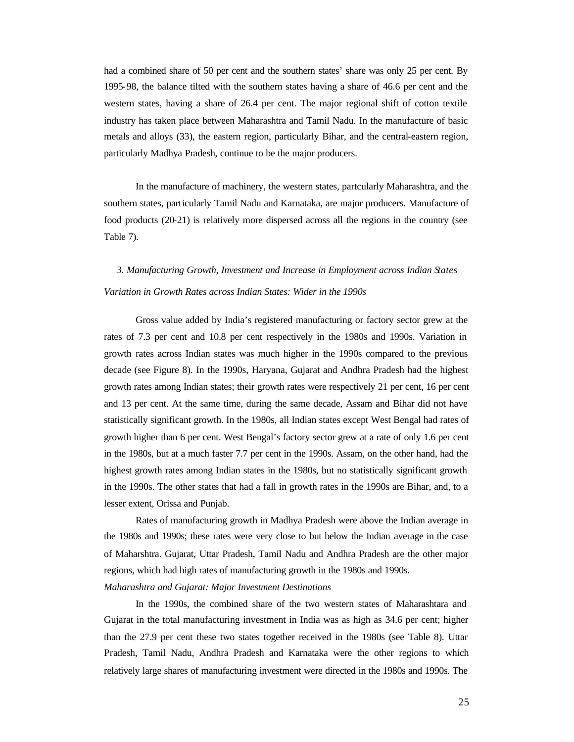had a combined share of 50 per cent and the southern states' share was only 25 per cent. By 1995-98, the balance tilted with the southern states having a share of 46.6 per cent and the western states, having a share of 26.4 per cent. The major regional shift of cotton textile industry has taken place between Maharashtra and Tamil Nadu. In the manufacture of basic metals and alloys (33), the eastern region, particularly Bihar, and the central-eastern region, particularly Madhya Pradesh, continue to be the major producers.

In the manufacture of machinery, the western states, partcularly Maharashtra, and the southern states, particularly Tamil Nadu and Karnataka, are major producers. Manufacture of food products (20-21) is relatively more dispersed across all the regions in the country (see Table 7).

# *3. Manufacturing Growth, Investment and Increase in Employment across Indian States Variation in Growth Rates across Indian States: Wider in the 1990s*

Gross value added by India's registered manufacturing or factory sector grew at the rates of 7.3 per cent and 10.8 per cent respectively in the 1980s and 1990s. Variation in growth rates across Indian states was much higher in the 1990s compared to the previous decade (see Figure 8). In the 1990s, Haryana, Gujarat and Andhra Pradesh had the highest growth rates among Indian states; their growth rates were respectively 21 per cent, 16 per cent and 13 per cent. At the same time, during the same decade, Assam and Bihar did not have statistically significant growth. In the 1980s, all Indian states except West Bengal had rates of growth higher than 6 per cent. West Bengal's factory sector grew at a rate of only 1.6 per cent in the 1980s, but at a much faster 7.7 per cent in the 1990s. Assam, on the other hand, had the highest growth rates among Indian states in the 1980s, but no statistically significant growth in the 1990s. The other states that had a fall in growth rates in the 1990s are Bihar, and, to a lesser extent, Orissa and Punjab.

Rates of manufacturing growth in Madhya Pradesh were above the Indian average in the 1980s and 1990s; these rates were very close to but below the Indian average in the case of Maharshtra. Gujarat, Uttar Pradesh, Tamil Nadu and Andhra Pradesh are the other major regions, which had high rates of manufacturing growth in the 1980s and 1990s.

## *Maharashtra and Gujarat: Major Investment Destinations*

In the 1990s, the combined share of the two western states of Maharashtara and Gujarat in the total manufacturing investment in India was as high as 34.6 per cent; higher than the 27.9 per cent these two states together received in the 1980s (see Table 8). Uttar Pradesh, Tamil Nadu, Andhra Pradesh and Karnataka were the other regions to which relatively large shares of manufacturing investment were directed in the 1980s and 1990s. The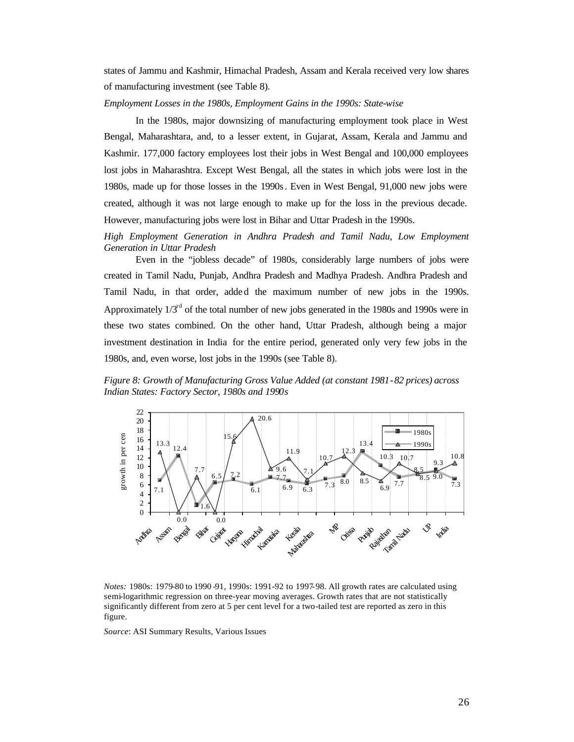states of Jammu and Kashmir, Himachal Pradesh, Assam and Kerala received very low shares of manufacturing investment (see Table 8).

### *Employment Losses in the 1980s, Employment Gains in the 1990s: State-wise*

In the 1980s, major downsizing of manufacturing employment took place in West Bengal, Maharashtara, and, to a lesser extent, in Gujarat, Assam, Kerala and Jammu and Kashmir. 177,000 factory employees lost their jobs in West Bengal and 100,000 employees lost jobs in Maharashtra. Except West Bengal, all the states in which jobs were lost in the 1980s, made up for those losses in the 1990s. Even in West Bengal, 91,000 new jobs were created, although it was not large enough to make up for the loss in the previous decade. However, manufacturing jobs were lost in Bihar and Uttar Pradesh in the 1990s.

*High Employment Generation in Andhra Pradesh and Tamil Nadu, Low Employment Generation in Uttar Pradesh*

Even in the "jobless decade" of 1980s, considerably large numbers of jobs were created in Tamil Nadu, Punjab, Andhra Pradesh and Madhya Pradesh. Andhra Pradesh and Tamil Nadu, in that order, added the maximum number of new jobs in the 1990s. Approximately  $1/3<sup>rd</sup>$  of the total number of new jobs generated in the 1980s and 1990s were in these two states combined. On the other hand, Uttar Pradesh, although being a major investment destination in India for the entire period, generated only very few jobs in the 1980s, and, even worse, lost jobs in the 1990s (see Table 8).

*Figure 8: Growth of Manufacturing Gross Value Added (at constant 1981-82 prices) across Indian States: Factory Sector, 1980s and 1990s*



*Notes:* 1980s: 1979-80 to 1990-91, 1990s: 1991-92 to 1997-98. All growth rates are calculated using semi-logarithmic regression on three-year moving averages. Growth rates that are not statistically significantly different from zero at 5 per cent level for a two-tailed test are reported as zero in this figure.

*Source*: ASI Summary Results, Various Issues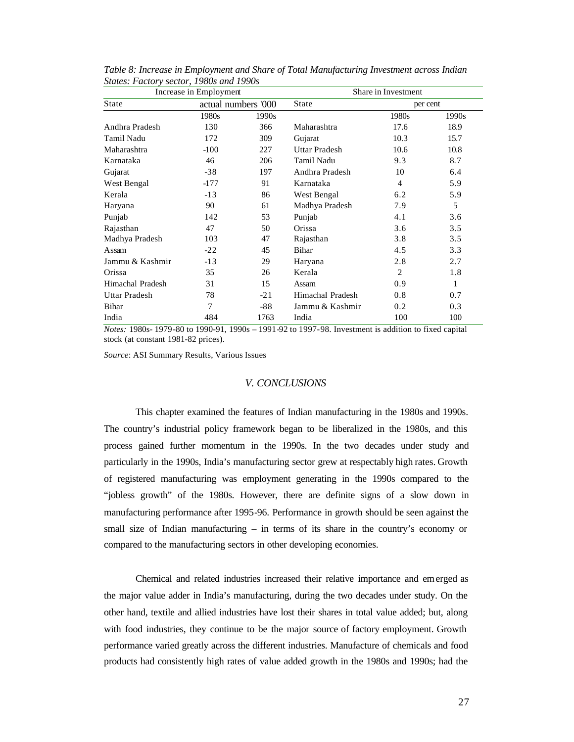|                      | Increase in Employment |                     | Share in Investment  |                |       |  |
|----------------------|------------------------|---------------------|----------------------|----------------|-------|--|
| State                |                        | actual numbers '000 | State                | per cent       |       |  |
|                      | 1980s                  | 1990s               |                      | 1980s          | 1990s |  |
| Andhra Pradesh       | 130                    | 366                 | Maharashtra          | 17.6           | 18.9  |  |
| Tamil Nadu           | 172                    | 309                 | Gujarat              | 10.3           | 15.7  |  |
| Maharashtra          | $-100$                 | 227                 | <b>Uttar Pradesh</b> | 10.6           | 10.8  |  |
| Karnataka            | 46                     | 206                 | Tamil Nadu           | 9.3            | 8.7   |  |
| Gujarat              | $-38$                  | 197                 | Andhra Pradesh       | 10             | 6.4   |  |
| West Bengal          | $-177$                 | 91                  | Karnataka            | 4              | 5.9   |  |
| Kerala               | $-13$                  | 86                  | West Bengal          | 6.2            | 5.9   |  |
| Haryana              | 90                     | 61                  | Madhya Pradesh       | 7.9            | 5     |  |
| Punjab               | 142                    | 53                  | Punjab               | 4.1            | 3.6   |  |
| Rajasthan            | 47                     | 50                  | Orissa               | 3.6            | 3.5   |  |
| Madhya Pradesh       | 103                    | 47                  | Rajasthan            | 3.8            | 3.5   |  |
| Assam                | $-22$                  | 45                  | Bihar                | 4.5            | 3.3   |  |
| Jammu & Kashmir      | $-13$                  | 29                  | Haryana              | 2.8            | 2.7   |  |
| Orissa               | 35                     | 26                  | Kerala               | $\overline{2}$ | 1.8   |  |
| Himachal Pradesh     | 31                     | 15                  | Assam                | 0.9            | 1     |  |
| <b>Uttar Pradesh</b> | 78                     | $-21$               | Himachal Pradesh     | 0.8            | 0.7   |  |
| Bihar                | 7                      | $-88$               | Jammu & Kashmir      | 0.2            | 0.3   |  |
| 484<br>India<br>1763 |                        | India               | 100                  | 100            |       |  |

*Table 8: Increase in Employment and Share of Total Manufacturing Investment across Indian States: Factory sector, 1980s and 1990s*

*Notes:* 1980s- 1979-80 to 1990-91, 1990s – 1991-92 to 1997-98. Investment is addition to fixed capital stock (at constant 1981-82 prices).

*Source*: ASI Summary Results, Various Issues

## *V. CONCLUSIONS*

This chapter examined the features of Indian manufacturing in the 1980s and 1990s. The country's industrial policy framework began to be liberalized in the 1980s, and this process gained further momentum in the 1990s. In the two decades under study and particularly in the 1990s, India's manufacturing sector grew at respectably high rates. Growth of registered manufacturing was employment generating in the 1990s compared to the "jobless growth" of the 1980s. However, there are definite signs of a slow down in manufacturing performance after 1995-96. Performance in growth should be seen against the small size of Indian manufacturing – in terms of its share in the country's economy or compared to the manufacturing sectors in other developing economies.

Chemical and related industries increased their relative importance and emerged as the major value adder in India's manufacturing, during the two decades under study. On the other hand, textile and allied industries have lost their shares in total value added; but, along with food industries, they continue to be the major source of factory employment. Growth performance varied greatly across the different industries. Manufacture of chemicals and food products had consistently high rates of value added growth in the 1980s and 1990s; had the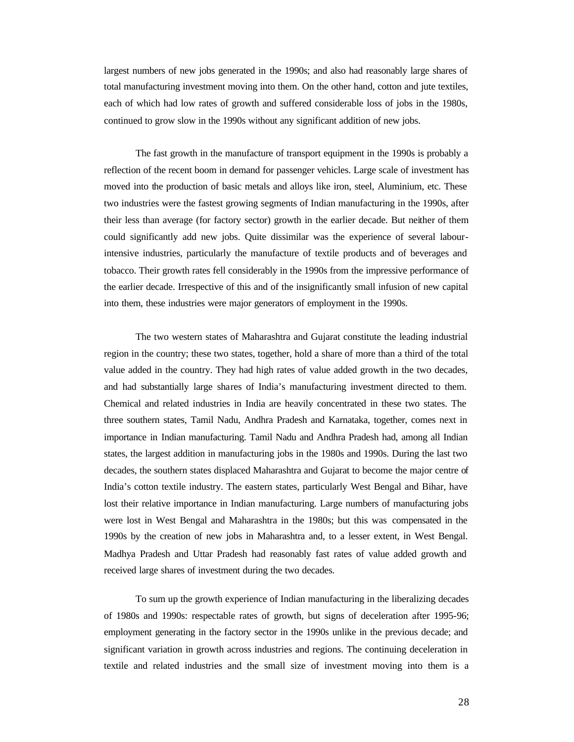largest numbers of new jobs generated in the 1990s; and also had reasonably large shares of total manufacturing investment moving into them. On the other hand, cotton and jute textiles, each of which had low rates of growth and suffered considerable loss of jobs in the 1980s, continued to grow slow in the 1990s without any significant addition of new jobs.

The fast growth in the manufacture of transport equipment in the 1990s is probably a reflection of the recent boom in demand for passenger vehicles. Large scale of investment has moved into the production of basic metals and alloys like iron, steel, Aluminium, etc. These two industries were the fastest growing segments of Indian manufacturing in the 1990s, after their less than average (for factory sector) growth in the earlier decade. But neither of them could significantly add new jobs. Quite dissimilar was the experience of several labourintensive industries, particularly the manufacture of textile products and of beverages and tobacco. Their growth rates fell considerably in the 1990s from the impressive performance of the earlier decade. Irrespective of this and of the insignificantly small infusion of new capital into them, these industries were major generators of employment in the 1990s.

The two western states of Maharashtra and Gujarat constitute the leading industrial region in the country; these two states, together, hold a share of more than a third of the total value added in the country. They had high rates of value added growth in the two decades, and had substantially large shares of India's manufacturing investment directed to them. Chemical and related industries in India are heavily concentrated in these two states. The three southern states, Tamil Nadu, Andhra Pradesh and Karnataka, together, comes next in importance in Indian manufacturing. Tamil Nadu and Andhra Pradesh had, among all Indian states, the largest addition in manufacturing jobs in the 1980s and 1990s. During the last two decades, the southern states displaced Maharashtra and Gujarat to become the major centre of India's cotton textile industry. The eastern states, particularly West Bengal and Bihar, have lost their relative importance in Indian manufacturing. Large numbers of manufacturing jobs were lost in West Bengal and Maharashtra in the 1980s; but this was compensated in the 1990s by the creation of new jobs in Maharashtra and, to a lesser extent, in West Bengal. Madhya Pradesh and Uttar Pradesh had reasonably fast rates of value added growth and received large shares of investment during the two decades.

To sum up the growth experience of Indian manufacturing in the liberalizing decades of 1980s and 1990s: respectable rates of growth, but signs of deceleration after 1995-96; employment generating in the factory sector in the 1990s unlike in the previous decade; and significant variation in growth across industries and regions. The continuing deceleration in textile and related industries and the small size of investment moving into them is a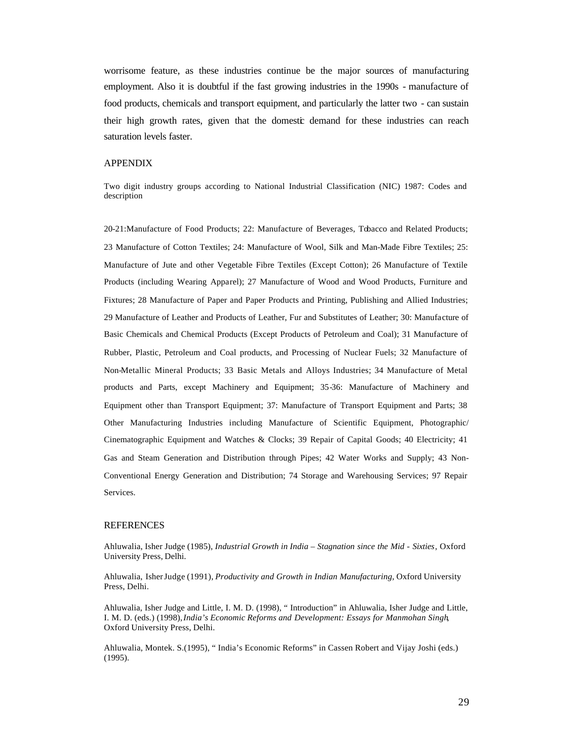worrisome feature, as these industries continue be the major sources of manufacturing employment. Also it is doubtful if the fast growing industries in the 1990s - manufacture of food products, chemicals and transport equipment, and particularly the latter two - can sustain their high growth rates, given that the domestic demand for these industries can reach saturation levels faster.

#### APPENDIX

Two digit industry groups according to National Industrial Classification (NIC) 1987: Codes and description

20-21:Manufacture of Food Products; 22: Manufacture of Beverages, Tobacco and Related Products; 23 Manufacture of Cotton Textiles; 24: Manufacture of Wool, Silk and Man-Made Fibre Textiles; 25: Manufacture of Jute and other Vegetable Fibre Textiles (Except Cotton); 26 Manufacture of Textile Products (including Wearing Apparel); 27 Manufacture of Wood and Wood Products, Furniture and Fixtures; 28 Manufacture of Paper and Paper Products and Printing, Publishing and Allied Industries; 29 Manufacture of Leather and Products of Leather, Fur and Substitutes of Leather; 30: Manufacture of Basic Chemicals and Chemical Products (Except Products of Petroleum and Coal); 31 Manufacture of Rubber, Plastic, Petroleum and Coal products, and Processing of Nuclear Fuels; 32 Manufacture of Non-Metallic Mineral Products; 33 Basic Metals and Alloys Industries; 34 Manufacture of Metal products and Parts, except Machinery and Equipment; 35-36: Manufacture of Machinery and Equipment other than Transport Equipment; 37: Manufacture of Transport Equipment and Parts; 38 Other Manufacturing Industries including Manufacture of Scientific Equipment, Photographic/ Cinematographic Equipment and Watches & Clocks; 39 Repair of Capital Goods; 40 Electricity; 41 Gas and Steam Generation and Distribution through Pipes; 42 Water Works and Supply; 43 Non-Conventional Energy Generation and Distribution; 74 Storage and Warehousing Services; 97 Repair Services.

## **REFERENCES**

Ahluwalia, Isher Judge (1985), *Industrial Growth in India – Stagnation since the Mid - Sixties*, Oxford University Press, Delhi.

Ahluwalia, Isher Judge (1991), *Productivity and Growth in Indian Manufacturing*, Oxford University Press, Delhi.

Ahluwalia, Isher Judge and Little, I. M. D. (1998), " Introduction" in Ahluwalia, Isher Judge and Little, I. M. D. (eds.) (1998), *India's Economic Reforms and Development: Essays for Manmohan Singh*, Oxford University Press, Delhi.

Ahluwalia, Montek. S.(1995), " India's Economic Reforms" in Cassen Robert and Vijay Joshi (eds.) (1995).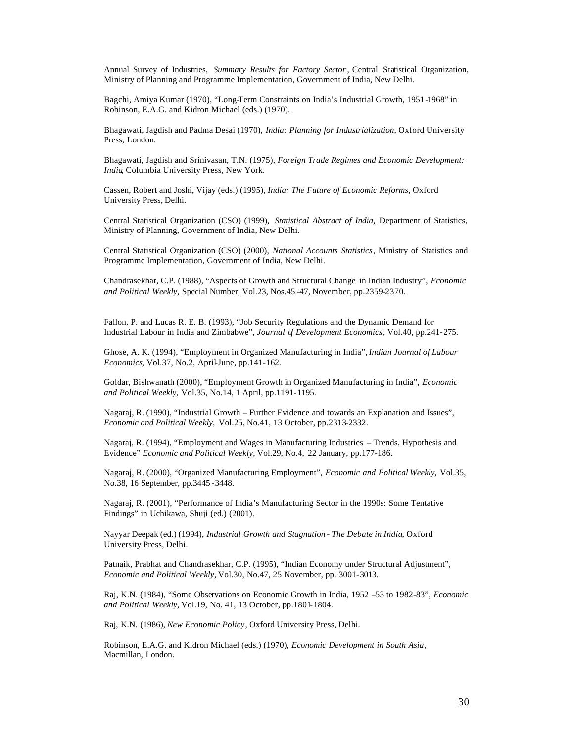Annual Survey of Industries, *Summary Results for Factory Sector*, Central Statistical Organization, Ministry of Planning and Programme Implementation, Government of India, New Delhi.

Bagchi, Amiya Kumar (1970), "Long-Term Constraints on India's Industrial Growth, 1951-1968" in Robinson, E.A.G. and Kidron Michael (eds.) (1970).

Bhagawati, Jagdish and Padma Desai (1970), *India: Planning for Industrialization,* Oxford University Press, London.

Bhagawati, Jagdish and Srinivasan, T.N. (1975), *Foreign Trade Regimes and Economic Development: India*, Columbia University Press, New York.

Cassen, Robert and Joshi, Vijay (eds.) (1995), *India: The Future of Economic Reforms*, Oxford University Press, Delhi.

Central Statistical Organization (CSO) (1999), *Statistical Abstract of India,* Department of Statistics, Ministry of Planning, Government of India, New Delhi.

Central Statistical Organization (CSO) (2000), *National Accounts Statistics*, Ministry of Statistics and Programme Implementation, Government of India, New Delhi.

Chandrasekhar, C.P. (1988), "Aspects of Growth and Structural Change in Indian Industry", *Economic and Political Weekly,* Special Number, Vol.23, Nos.45 -47, November, pp.2359-2370.

Fallon, P. and Lucas R. E. B. (1993), "Job Security Regulations and the Dynamic Demand for Industrial Labour in India and Zimbabwe", *Journal of Development Economics*, Vol.40, pp.241-275.

Ghose, A. K. (1994), "Employment in Organized Manufacturing in India", *Indian Journal of Labour Economics*, Vol.37, No.2, April-June, pp.141-162.

Goldar, Bishwanath (2000), "Employment Growth in Organized Manufacturing in India", *Economic and Political Weekly,* Vol.35, No.14, 1 April, pp.1191-1195.

Nagaraj, R. (1990), "Industrial Growth – Further Evidence and towards an Explanation and Issues", *Economic and Political Weekly,* Vol.25, No.41, 13 October, pp.2313-2332.

Nagaraj, R. (1994), "Employment and Wages in Manufacturing Industries – Trends, Hypothesis and Evidence" *Economic and Political Weekly,* Vol.29, No.4, 22 January, pp.177-186.

Nagaraj, R. (2000), "Organized Manufacturing Employment", *Economic and Political Weekly,* Vol.35, No.38, 16 September, pp.3445 -3448.

Nagaraj, R. (2001), "Performance of India's Manufacturing Sector in the 1990s: Some Tentative Findings" in Uchikawa, Shuji (ed.) (2001).

Nayyar Deepak (ed.) (1994), *Industrial Growth and Stagnation - The Debate in India*, Oxford University Press, Delhi.

Patnaik, Prabhat and Chandrasekhar, C.P. (1995), "Indian Economy under Structural Adjustment", *Economic and Political Weekly,* Vol.30, No.47, 25 November, pp. 3001-3013.

Raj, K.N. (1984), "Some Observations on Economic Growth in India, 1952 –53 to 1982-83", *Economic and Political Weekly,* Vol.19, No. 41, 13 October, pp.1801-1804.

Raj, K.N. (1986), *New Economic Policy*, Oxford University Press, Delhi.

Robinson, E.A.G. and Kidron Michael (eds.) (1970), *Economic Development in South Asia*, Macmillan, London.